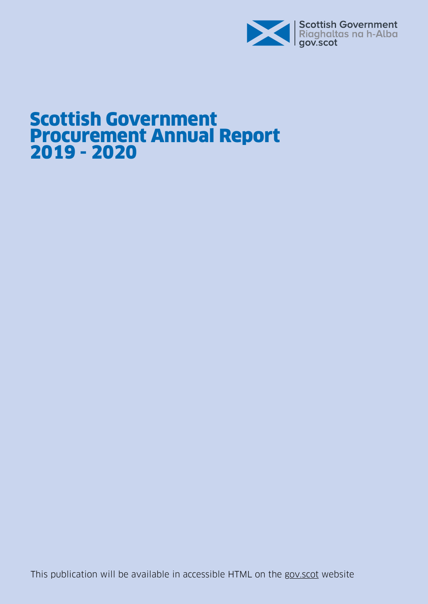

# Scottish Government Procurement Annual Report 2019 - 2020

This publication will be available in accessible HTML on the [gov.scot](http://www.gov.scot/ISBN/978-1-80004-350-3) website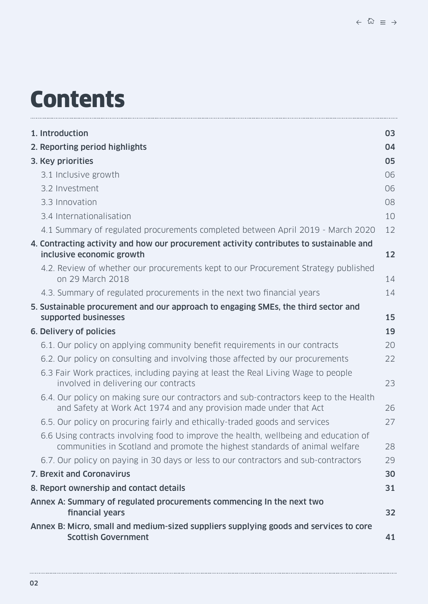# **Contents**

| 1. Introduction                                                                                                                                                     | 03       |
|---------------------------------------------------------------------------------------------------------------------------------------------------------------------|----------|
| 2. Reporting period highlights                                                                                                                                      | 04       |
| 3. Key priorities                                                                                                                                                   | 05       |
| 3.1 Inclusive growth                                                                                                                                                | 06       |
| 3.2 Investment                                                                                                                                                      | 06       |
| 3.3 Innovation                                                                                                                                                      | 08       |
| 3.4 Internationalisation                                                                                                                                            | 10       |
| 4.1 Summary of regulated procurements completed between April 2019 - March 2020                                                                                     | 12       |
| 4. Contracting activity and how our procurement activity contributes to sustainable and<br>inclusive economic growth                                                | 12       |
| 4.2. Review of whether our procurements kept to our Procurement Strategy published<br>on 29 March 2018                                                              | 14       |
| 4.3. Summary of regulated procurements in the next two financial years                                                                                              | 14       |
| 5. Sustainable procurement and our approach to engaging SMEs, the third sector and                                                                                  |          |
| supported businesses<br>6. Delivery of policies                                                                                                                     | 15<br>19 |
| 6.1. Our policy on applying community benefit requirements in our contracts                                                                                         | 20       |
| 6.2. Our policy on consulting and involving those affected by our procurements                                                                                      | 22       |
| 6.3 Fair Work practices, including paying at least the Real Living Wage to people<br>involved in delivering our contracts                                           | 23       |
| 6.4. Our policy on making sure our contractors and sub-contractors keep to the Health<br>and Safety at Work Act 1974 and any provision made under that Act          | 26       |
| 6.5. Our policy on procuring fairly and ethically-traded goods and services                                                                                         | 27       |
| 6.6 Using contracts involving food to improve the health, wellbeing and education of<br>communities in Scotland and promote the highest standards of animal welfare | 28       |
| 6.7. Our policy on paying in 30 days or less to our contractors and sub-contractors                                                                                 | 29       |
| 7. Brexit and Coronavirus                                                                                                                                           | 30       |
| 8. Report ownership and contact details                                                                                                                             | 31       |
| Annex A: Summary of regulated procurements commencing In the next two<br>financial years                                                                            | 32       |
| Annex B: Micro, small and medium-sized suppliers supplying goods and services to core<br><b>Scottish Government</b>                                                 | 41       |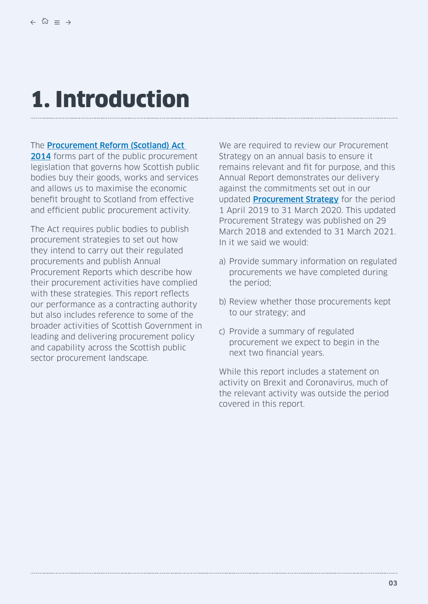# <span id="page-2-0"></span>1. Introduction

#### The [Procurement Reform \(Scotland\) Act](http://www.legislation.gov.uk/asp/2014/12/contents)

[2014](http://www.legislation.gov.uk/asp/2014/12/contents) forms part of the public procurement legislation that governs how Scottish public bodies buy their goods, works and services and allows us to maximise the economic benefit brought to Scotland from effective and efficient public procurement activity.

The Act requires public bodies to publish procurement strategies to set out how they intend to carry out their regulated procurements and publish Annual Procurement Reports which describe how their procurement activities have complied with these strategies. This report reflects our performance as a contracting authority but also includes reference to some of the broader activities of Scottish Government in leading and delivering procurement policy and capability across the Scottish public sector procurement landscape.

We are required to review our Procurement Strategy on an annual basis to ensure it remains relevant and fit for purpose, and this Annual Report demonstrates our delivery against the commitments set out in our updated **[Procurement Strategy](https://www.gov.scot/publications/update-scottish-government-procurement-strategy/)** for the period 1 April 2019 to 31 March 2020. This updated Procurement Strategy was published on 29 March 2018 and extended to 31 March 2021. In it we said we would:

- a) Provide summary information on regulated procurements we have completed during the period;
- b) Review whether those procurements kept to our strategy; and
- c) Provide a summary of regulated procurement we expect to begin in the next two financial years.

While this report includes a statement on activity on Brexit and Coronavirus, much of the relevant activity was outside the period covered in this report.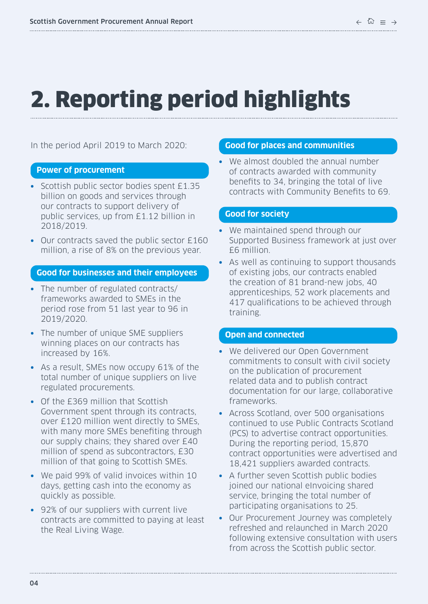# <span id="page-3-0"></span>2. Reporting period highlights

In the period April 2019 to March 2020:

#### **Power of procurement**

- **•** Scottish public sector bodies spent £1.35 billion on goods and services through our contracts to support delivery of public services, up from £1.12 billion in 2018/2019.
- **•** Our contracts saved the public sector £160 million, a rise of 8% on the previous year.

#### **Good for businesses and their employees**

- **•** The number of regulated contracts/ frameworks awarded to SMEs in the period rose from 51 last year to 96 in 2019/2020.
- **•** The number of unique SME suppliers winning places on our contracts has increased by 16%.
- **•** As a result, SMEs now occupy 61% of the total number of unique suppliers on live regulated procurements.
- **•** Of the £369 million that Scottish Government spent through its contracts, over £120 million went directly to SMEs, with many more SMEs benefiting through our supply chains; they shared over £40 million of spend as subcontractors, £30 million of that going to Scottish SMEs.
- **•** We paid 99% of valid invoices within 10 days, getting cash into the economy as quickly as possible.
- **•** 92% of our suppliers with current live contracts are committed to paying at least the Real Living Wage.

#### **Good for places and communities**

**•** We almost doubled the annual number of contracts awarded with community benefits to 34, bringing the total of live contracts with Community Benefits to 69.

#### **Good for society**

- **•** We maintained spend through our Supported Business framework at just over £6 million.
- **•** As well as continuing to support thousands of existing jobs, our contracts enabled the creation of 81 brand-new jobs, 40 apprenticeships, 52 work placements and 417 qualifications to be achieved through training.

#### **Open and connected**

- **•** We delivered our Open Government commitments to consult with civil society on the publication of procurement related data and to publish contract documentation for our large, collaborative frameworks.
- **•** Across Scotland, over 500 organisations continued to use Public Contracts Scotland (PCS) to advertise contract opportunities. During the reporting period, 15,870 contract opportunities were advertised and 18,421 suppliers awarded contracts.
- **•** A further seven Scottish public bodies joined our national eInvoicing shared service, bringing the total number of participating organisations to 25.
- **•** Our Procurement Journey was completely refreshed and relaunched in March 2020 following extensive consultation with users from across the Scottish public sector.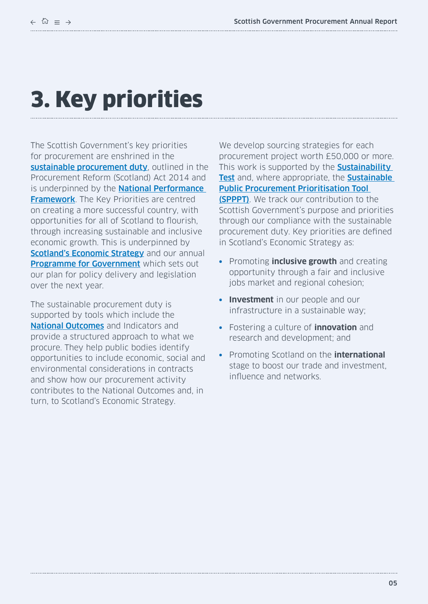# <span id="page-4-0"></span>3. Key priorities

The Scottish Government's key priorities for procurement are enshrined in the [sustainable procurement duty](https://www.legislation.gov.uk/asp/2014/12/section/9), outlined in the Procurement Reform (Scotland) Act 2014 and is underpinned by the **National Performance [Framework](https://nationalperformance.gov.scot/).** The Key Priorities are centred on creating a more successful country, with opportunities for all of Scotland to flourish, through increasing sustainable and inclusive economic growth. This is underpinned by [Scotland's Economic Strategy](https://www.gov.scot/publications/scotlands-economic-strategy/) and our annual **[Programme for Government](https://www.gov.scot/programme-for-government/)** which sets out our plan for policy delivery and legislation over the next year.

The sustainable procurement duty is supported by tools which include the **[National Outcomes](https://nationalperformance.gov.scot/index.php/national-outcomes)** and Indicators and provide a structured approach to what we procure. They help public bodies identify opportunities to include economic, social and environmental considerations in contracts and show how our procurement activity contributes to the National Outcomes and, in turn, to Scotland's Economic Strategy.

We develop sourcing strategies for each procurement project worth £50,000 or more. This work is supported by the **Sustainability** [Test](https://sustainableprocurementtools.scot/) and, where appropriate, the Sustainable [Public Procurement Prioritisation Tool](https://sustainableprocurementtools.scot/)  [\(SPPPT\)](https://sustainableprocurementtools.scot/). We track our contribution to the Scottish Government's purpose and priorities through our compliance with the sustainable procurement duty. Key priorities are defined in Scotland's Economic Strategy as:

- **•** Promoting **inclusive growth** and creating opportunity through a fair and inclusive jobs market and regional cohesion;
- **• Investment** in our people and our infrastructure in a sustainable way;
- **•** Fostering a culture of **innovation** and research and development; and
- **•** Promoting Scotland on the **international** stage to boost our trade and investment, influence and networks.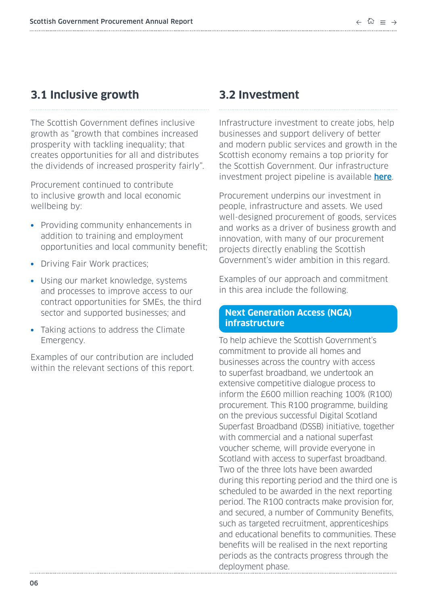# <span id="page-5-0"></span>**3.1 Inclusive growth**

The Scottish Government defines inclusive growth as "growth that combines increased prosperity with tackling inequality; that creates opportunities for all and distributes the dividends of increased prosperity fairly".

Procurement continued to contribute to inclusive growth and local economic wellbeing by:

- **•** Providing community enhancements in addition to training and employment opportunities and local community benefit;
- **•** Driving Fair Work practices;
- **•** Using our market knowledge, systems and processes to improve access to our contract opportunities for SMEs, the third sector and supported businesses; and
- **•** Taking actions to address the Climate Emergency.

Examples of our contribution are included within the relevant sections of this report.

# **3.2 Investment**

Infrastructure investment to create jobs, help businesses and support delivery of better and modern public services and growth in the Scottish economy remains a top priority for the Scottish Government. Our infrastructure investment project pipeline is available [here](https://www.gov.scot/policies/government-finance/infrastructure-investment/).

Procurement underpins our investment in people, infrastructure and assets. We used well-designed procurement of goods, services and works as a driver of business growth and innovation, with many of our procurement projects directly enabling the Scottish Government's wider ambition in this regard.

Examples of our approach and commitment in this area include the following.

#### **Next Generation Access (NGA) infrastructure**

To help achieve the Scottish Government's commitment to provide all homes and businesses across the country with access to superfast broadband, we undertook an extensive competitive dialogue process to inform the £600 million reaching 100% (R100) procurement. This R100 programme, building on the previous successful Digital Scotland Superfast Broadband (DSSB) initiative, together with commercial and a national superfast voucher scheme, will provide everyone in Scotland with access to superfast broadband. Two of the three lots have been awarded during this reporting period and the third one is scheduled to be awarded in the next reporting period. The R100 contracts make provision for, and secured, a number of Community Benefits, such as targeted recruitment, apprenticeships and educational benefits to communities. These benefits will be realised in the next reporting periods as the contracts progress through the deployment phase.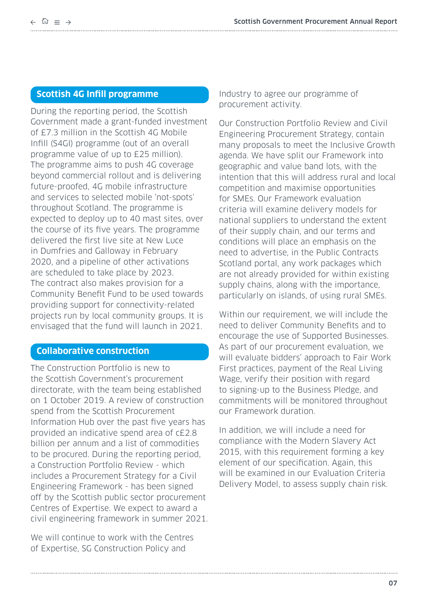# **Scottish 4G Infill programme**

During the reporting period, the Scottish Government made a grant-funded investment of £7.3 million in the Scottish 4G Mobile Infill (S4GI) programme (out of an overall programme value of up to £25 million). The programme aims to push 4G coverage beyond commercial rollout and is delivering future-proofed, 4G mobile infrastructure and services to selected mobile 'not-spots' throughout Scotland. The programme is expected to deploy up to 40 mast sites, over the course of its five years. The programme delivered the first live site at New Luce in Dumfries and Galloway in February 2020, and a pipeline of other activations are scheduled to take place by 2023. The contract also makes provision for a Community Benefit Fund to be used towards providing support for connectivity-related projects run by local community groups. It is envisaged that the fund will launch in 2021.

## **Collaborative construction**

The Construction Portfolio is new to the Scottish Government's procurement directorate, with the team being established on 1 October 2019. A review of construction spend from the Scottish Procurement Information Hub over the past five years has provided an indicative spend area of c£2.8 billion per annum and a list of commodities to be procured. During the reporting period, a Construction Portfolio Review - which includes a Procurement Strategy for a Civil Engineering Framework - has been signed off by the Scottish public sector procurement Centres of Expertise. We expect to award a civil engineering framework in summer 2021.

We will continue to work with the Centres of Expertise, SG Construction Policy and

Industry to agree our programme of procurement activity.

Our Construction Portfolio Review and Civil Engineering Procurement Strategy, contain many proposals to meet the Inclusive Growth agenda. We have split our Framework into geographic and value band lots, with the intention that this will address rural and local competition and maximise opportunities for SMEs. Our Framework evaluation criteria will examine delivery models for national suppliers to understand the extent of their supply chain, and our terms and conditions will place an emphasis on the need to advertise, in the Public Contracts Scotland portal, any work packages which are not already provided for within existing supply chains, along with the importance, particularly on islands, of using rural SMEs.

Within our requirement, we will include the need to deliver Community Benefits and to encourage the use of Supported Businesses. As part of our procurement evaluation, we will evaluate bidders' approach to Fair Work First practices, payment of the Real Living Wage, verify their position with regard to signing-up to the Business Pledge, and commitments will be monitored throughout our Framework duration.

In addition, we will include a need for compliance with the Modern Slavery Act 2015, with this requirement forming a key element of our specification. Again, this will be examined in our Evaluation Criteria Delivery Model, to assess supply chain risk.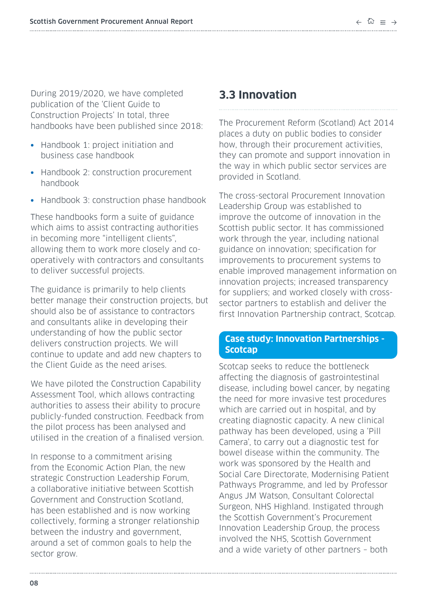<span id="page-7-0"></span>During 2019/2020, we have completed publication of the 'Client Guide to Construction Projects' In total, three handbooks have been published since 2018:

- **•** Handbook 1: project initiation and business case handbook
- **•** Handbook 2: construction procurement handbook
- **•** Handbook 3: construction phase handbook

These handbooks form a suite of guidance which aims to assist contracting authorities in becoming more "intelligent clients", allowing them to work more closely and cooperatively with contractors and consultants to deliver successful projects.

The guidance is primarily to help clients better manage their construction projects, but should also be of assistance to contractors and consultants alike in developing their understanding of how the public sector delivers construction projects. We will continue to update and add new chapters to the Client Guide as the need arises.

We have piloted the Construction Capability Assessment Tool, which allows contracting authorities to assess their ability to procure publicly-funded construction. Feedback from the pilot process has been analysed and utilised in the creation of a finalised version.

In response to a commitment arising from the Economic Action Plan, the new strategic Construction Leadership Forum, a collaborative initiative between Scottish Government and Construction Scotland, has been established and is now working collectively, forming a stronger relationship between the industry and government, around a set of common goals to help the sector grow.

# **3.3 Innovation**

The Procurement Reform (Scotland) Act 2014 places a duty on public bodies to consider how, through their procurement activities, they can promote and support innovation in the way in which public sector services are provided in Scotland.

The cross-sectoral Procurement Innovation Leadership Group was established to improve the outcome of innovation in the Scottish public sector. It has commissioned work through the year, including national guidance on innovation; specification for improvements to procurement systems to enable improved management information on innovation projects; increased transparency for suppliers; and worked closely with crosssector partners to establish and deliver the first Innovation Partnership contract, Scotcap.

## **Case study: Innovation Partnerships - Scotcap**

Scotcap seeks to reduce the bottleneck affecting the diagnosis of gastrointestinal disease, including bowel cancer, by negating the need for more invasive test procedures which are carried out in hospital, and by creating diagnostic capacity. A new clinical pathway has been developed, using a 'Pill Camera', to carry out a diagnostic test for bowel disease within the community. The work was sponsored by the Health and Social Care Directorate, Modernising Patient Pathways Programme, and led by Professor Angus JM Watson, Consultant Colorectal Surgeon, NHS Highland. Instigated through the Scottish Government's Procurement Innovation Leadership Group, the process involved the NHS, Scottish Government and a wide variety of other partners – both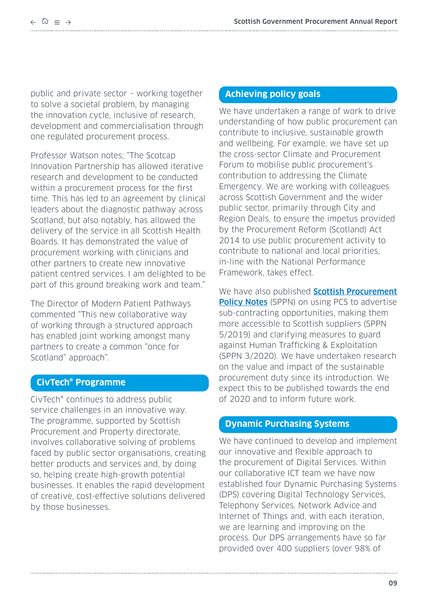public and private sector – working together to solve a societal problem, by managing the innovation cycle, inclusive of research, development and commercialisation through one regulated procurement process.

Professor Watson notes; "The Scotcap Innovation Partnership has allowed iterative research and development to be conducted within a procurement process for the first time. This has led to an agreement by clinical leaders about the diagnostic pathway across Scotland, but also notably, has allowed the delivery of the service in all Scottish Health Boards. It has demonstrated the value of procurement working with clinicians and other partners to create new innovative patient centred services. I am delighted to be part of this ground breaking work and team."

The Director of Modern Patient Pathways commented "This new collaborative way of working through a structured approach has enabled joint working amongst many partners to create a common "once for Scotland" approach".

## **CivTech® Programme**

CivTech® continues to address public service challenges in an innovative way. The programme, supported by Scottish Procurement and Property directorate, involves collaborative solving of problems faced by public sector organisations, creating better products and services and, by doing so, helping create high-growth potential businesses. It enables the rapid development of creative, cost-effective solutions delivered by those businesses.

#### **Achieving policy goals**

We have undertaken a range of work to drive understanding of how public procurement can contribute to inclusive, sustainable growth and wellbeing. For example, we have set up the cross-sector Climate and Procurement Forum to mobilise public procurement's contribution to addressing the Climate Emergency. We are working with colleagues across Scottish Government and the wider public sector, primarily through City and Region Deals, to ensure the impetus provided by the Procurement Reform (Scotland) Act 2014 to use public procurement activity to contribute to national and local priorities, in-line with the National Performance Framework, takes effect.

We have also published **Scottish Procurement [Policy Notes](https://www.gov.scot/collections/scottish-procurement-policy-notes-sppns/)** (SPPN) on using PCS to advertise sub-contracting opportunities, making them more accessible to Scottish suppliers (SPPN 5/2019) and clarifying measures to guard against Human Trafficking & Exploitation (SPPN 3/2020). We have undertaken research on the value and impact of the sustainable procurement duty since its introduction. We expect this to be published towards the end of 2020 and to inform future work.

## **Dynamic Purchasing Systems**

We have continued to develop and implement our innovative and flexible approach to the procurement of Digital Services. Within our collaborative ICT team we have now established four Dynamic Purchasing Systems (DPS) covering Digital Technology Services, Telephony Services, Network Advice and Internet of Things and, with each iteration, we are learning and improving on the process. Our DPS arrangements have so far provided over 400 suppliers (over 98% of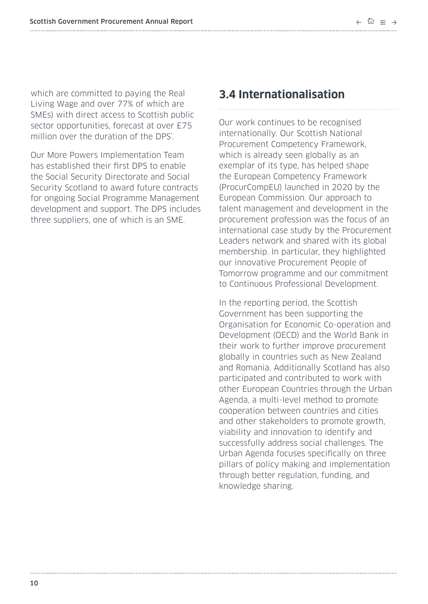<span id="page-9-0"></span>which are committed to paying the Real Living Wage and over 77% of which are SMEs) with direct access to Scottish public sector opportunities, forecast at over £75 million over the duration of the DPS'.

Our More Powers Implementation Team has established their first DPS to enable the Social Security Directorate and Social Security Scotland to award future contracts for ongoing Social Programme Management development and support. The DPS includes three suppliers, one of which is an SME.

# **3.4 Internationalisation**

Our work continues to be recognised internationally. Our Scottish National Procurement Competency Framework, which is already seen globally as an exemplar of its type, has helped shape the European Competency Framework (ProcurCompEU) launched in 2020 by the European Commission. Our approach to talent management and development in the procurement profession was the focus of an international case study by the Procurement Leaders network and shared with its global membership. In particular, they highlighted our innovative Procurement People of Tomorrow programme and our commitment to Continuous Professional Development.

In the reporting period, the Scottish Government has been supporting the Organisation for Economic Co-operation and Development (OECD) and the World Bank in their work to further improve procurement globally in countries such as New Zealand and Romania. Additionally Scotland has also participated and contributed to work with other European Countries through the Urban Agenda, a multi-level method to promote cooperation between countries and cities and other stakeholders to promote growth, viability and innovation to identify and successfully address social challenges. The Urban Agenda focuses specifically on three pillars of policy making and implementation through better regulation, funding, and knowledge sharing.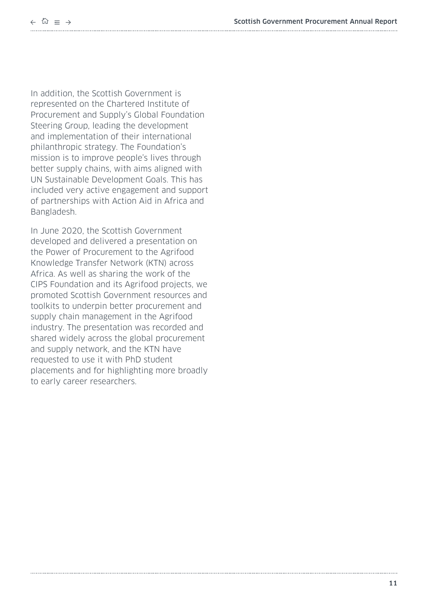$\leftarrow$   $\hat{\omega}$  =  $\rightarrow$ 

In addition, the Scottish Government is represented on the Chartered Institute of Procurement and Supply's Global Foundation Steering Group, leading the development and implementation of their international philanthropic strategy. The Foundation's mission is to improve people's lives through better supply chains, with aims aligned with UN Sustainable Development Goals. This has included very active engagement and support of partnerships with Action Aid in Africa and Bangladesh.

In June 2020, the Scottish Government developed and delivered a presentation on the Power of Procurement to the Agrifood Knowledge Transfer Network (KTN) across Africa. As well as sharing the work of the CIPS Foundation and its Agrifood projects, we promoted Scottish Government resources and toolkits to underpin better procurement and supply chain management in the Agrifood industry. The presentation was recorded and shared widely across the global procurement and supply network, and the KTN have requested to use it with PhD student placements and for highlighting more broadly to early career researchers.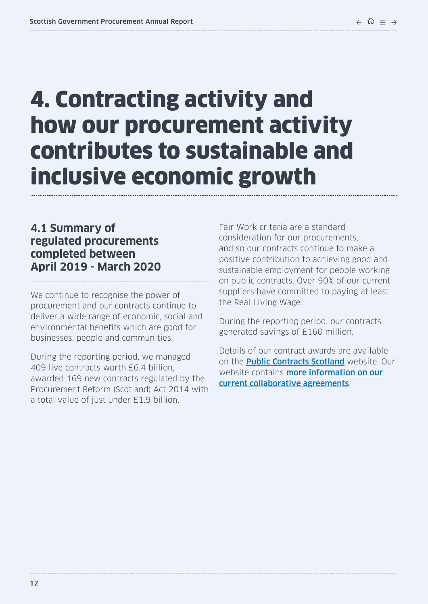# <span id="page-11-0"></span>4. Contracting activity and how our procurement activity contributes to sustainable and inclusive economic growth

# **4.1 Summary of regulated procurements completed between April 2019 - March 2020**

We continue to recognise the power of procurement and our contracts continue to deliver a wide range of economic, social and environmental benefits which are good for businesses, people and communities.

During the reporting period, we managed 409 live contracts worth £6.4 billion, awarded 169 new contracts regulated by the Procurement Reform (Scotland) Act 2014 with a total value of just under £1.9 billion.

Fair Work criteria are a standard consideration for our procurements, and so our contracts continue to make a positive contribution to achieving good and sustainable employment for people working on public contracts. Over 90% of our current suppliers have committed to paying at least the Real Living Wage.

During the reporting period, our contracts generated savings of £160 million.

Details of our contract awards are available on the **[Public Contracts Scotland](https://www.publiccontractsscotland.gov.uk/)** website. Our website contains **more information on our** [current collaborative agreements](http://www.gov.scot/Topics/Government/Procurement/directory).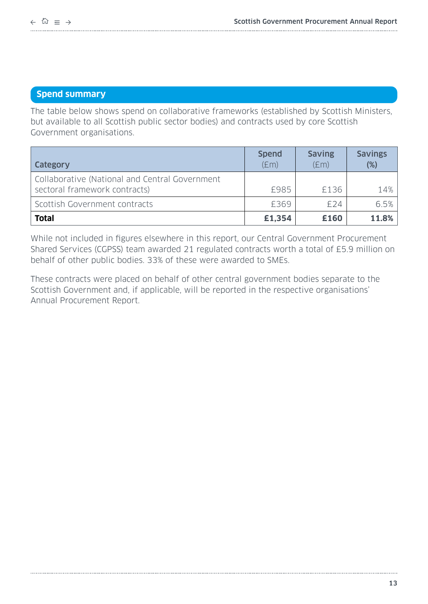# **Spend summary**

The table below shows spend on collaborative frameworks (established by Scottish Ministers, but available to all Scottish public sector bodies) and contracts used by core Scottish Government organisations.

| <b>Category</b>                                                                 | <b>Spend</b><br>E(m) | <b>Saving</b><br>E(m) | <b>Savings</b><br>$(\%)$ |
|---------------------------------------------------------------------------------|----------------------|-----------------------|--------------------------|
| Collaborative (National and Central Government<br>sectoral framework contracts) | £985                 | £136                  | 14%                      |
| Scottish Government contracts                                                   | £369                 | £24                   | 6.5%                     |
| <b>Total</b>                                                                    | £1,354               | £160                  | 11.8%                    |

While not included in figures elsewhere in this report, our Central Government Procurement Shared Services (CGPSS) team awarded 21 regulated contracts worth a total of £5.9 million on behalf of other public bodies. 33% of these were awarded to SMEs.

These contracts were placed on behalf of other central government bodies separate to the Scottish Government and, if applicable, will be reported in the respective organisations' Annual Procurement Report.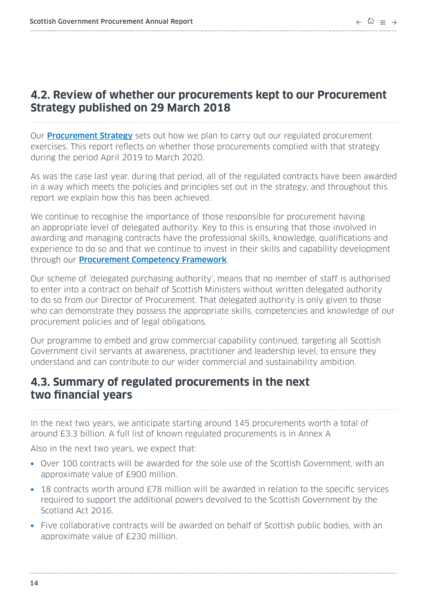# <span id="page-13-0"></span>**4.2. Review of whether our procurements kept to our Procurement Strategy published on 29 March 2018**

Our **[Procurement Strategy](https://www.gov.scot/publications/update-scottish-government-procurement-strategy/pages/6/)** sets out how we plan to carry out our regulated procurement exercises. This report reflects on whether those procurements complied with that strategy during the period April 2019 to March 2020.

As was the case last year, during that period, all of the regulated contracts have been awarded in a way which meets the policies and principles set out in the strategy, and throughout this report we explain how this has been achieved.

We continue to recognise the importance of those responsible for procurement having an appropriate level of delegated authority. Key to this is ensuring that those involved in awarding and managing contracts have the professional skills, knowledge, qualifications and experience to do so and that we continue to invest in their skills and capability development through our [Procurement Competency Framework](https://www.gov.scot/publications/scottish-procurement-competency-framework/).

Our scheme of 'delegated purchasing authority', means that no member of staff is authorised to enter into a contract on behalf of Scottish Ministers without written delegated authority to do so from our Director of Procurement. That delegated authority is only given to those who can demonstrate they possess the appropriate skills, competencies and knowledge of our procurement policies and of legal obligations.

Our programme to embed and grow commercial capability continued, targeting all Scottish Government civil servants at awareness, practitioner and leadership level, to ensure they understand and can contribute to our wider commercial and sustainability ambition.

# **4.3. Summary of regulated procurements in the next two financial years**

In the next two years, we anticipate starting around 145 procurements worth a total of around £3.3 billion. A full list of known regulated procurements is in Annex A

Also in the next two years, we expect that:

- **•** Over 100 contracts will be awarded for the sole use of the Scottish Government, with an approximate value of £900 million.
- **•** 18 contracts worth around £78 million will be awarded in relation to the specific services required to support the additional powers devolved to the Scottish Government by the Scotland Act 2016.
- **•** Five collaborative contracts will be awarded on behalf of Scottish public bodies, with an approximate value of £230 million.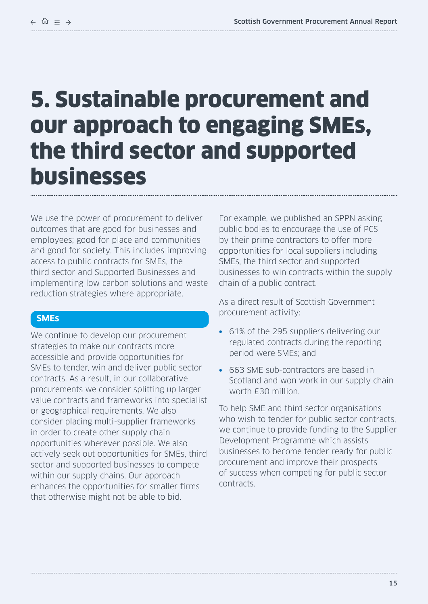# <span id="page-14-0"></span>5. Sustainable procurement and our approach to engaging SMEs, the third sector and supported businesses

We use the power of procurement to deliver outcomes that are good for businesses and employees; good for place and communities and good for society. This includes improving access to public contracts for SMEs, the third sector and Supported Businesses and implementing low carbon solutions and waste reduction strategies where appropriate.

# **SMEs**

We continue to develop our procurement strategies to make our contracts more accessible and provide opportunities for SMEs to tender, win and deliver public sector contracts. As a result, in our collaborative procurements we consider splitting up larger value contracts and frameworks into specialist or geographical requirements. We also consider placing multi-supplier frameworks in order to create other supply chain opportunities wherever possible. We also actively seek out opportunities for SMEs, third sector and supported businesses to compete within our supply chains. Our approach enhances the opportunities for smaller firms that otherwise might not be able to bid.

For example, we published an SPPN asking public bodies to encourage the use of PCS by their prime contractors to offer more opportunities for local suppliers including SMEs, the third sector and supported businesses to win contracts within the supply chain of a public contract.

As a direct result of Scottish Government procurement activity:

- **•** 61% of the 295 suppliers delivering our regulated contracts during the reporting period were SMEs; and
- **•** 663 SME sub-contractors are based in Scotland and won work in our supply chain worth £30 million.

To help SME and third sector organisations who wish to tender for public sector contracts, we continue to provide funding to the Supplier Development Programme which assists businesses to become tender ready for public procurement and improve their prospects of success when competing for public sector contracts.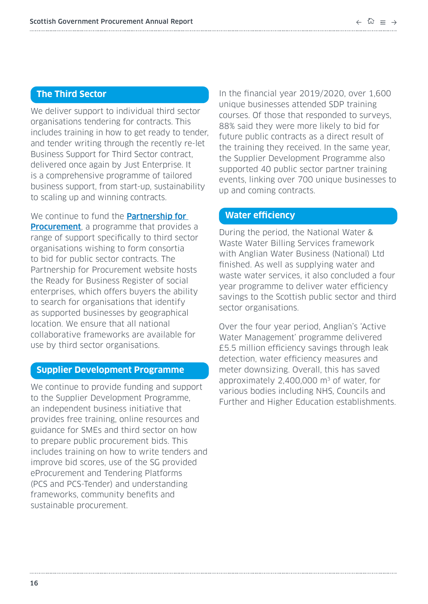# **The Third Sector**

We deliver support to individual third sector organisations tendering for contracts. This includes training in how to get ready to tender, and tender writing through the recently re-let Business Support for Third Sector contract, delivered once again by Just Enterprise. It is a comprehensive programme of tailored business support, from start-up, sustainability to scaling up and winning contracts.

We continue to fund the **Partnership for [Procurement](https://p4p.org.uk/)**, a programme that provides a range of support specifically to third sector organisations wishing to form consortia to bid for public sector contracts. The Partnership for Procurement website hosts the Ready for Business Register of social enterprises, which offers buyers the ability to search for organisations that identify as supported businesses by geographical location. We ensure that all national collaborative frameworks are available for use by third sector organisations.

#### **Supplier Development Programme**

We continue to provide funding and support to the Supplier Development Programme, an independent business initiative that provides free training, online resources and guidance for SMEs and third sector on how to prepare public procurement bids. This includes training on how to write tenders and improve bid scores, use of the SG provided eProcurement and Tendering Platforms (PCS and PCS-Tender) and understanding frameworks, community benefits and sustainable procurement.

In the financial year 2019/2020, over 1,600 unique businesses attended SDP training courses. Of those that responded to surveys, 88% said they were more likely to bid for future public contracts as a direct result of the training they received. In the same year, the Supplier Development Programme also supported 40 public sector partner training events, linking over 700 unique businesses to up and coming contracts.

# **Water efficiency**

During the period, the National Water & Waste Water Billing Services framework with Anglian Water Business (National) Ltd finished. As well as supplying water and waste water services, it also concluded a four year programme to deliver water efficiency savings to the Scottish public sector and third sector organisations.

Over the four year period, Anglian's 'Active Water Management' programme delivered £5.5 million efficiency savings through leak detection, water efficiency measures and meter downsizing. Overall, this has saved approximately 2,400,000  $\text{m}^3$  of water, for various bodies including NHS, Councils and Further and Higher Education establishments.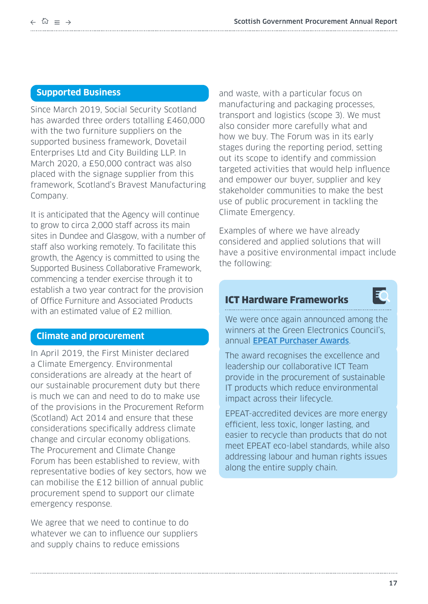# **Supported Business**

Since March 2019, Social Security Scotland has awarded three orders totalling £460,000 with the two furniture suppliers on the supported business framework, Dovetail Enterprises Ltd and City Building LLP. In March 2020, a £50,000 contract was also placed with the signage supplier from this framework, Scotland's Bravest Manufacturing Company.

It is anticipated that the Agency will continue to grow to circa 2,000 staff across its main sites in Dundee and Glasgow, with a number of staff also working remotely. To facilitate this growth, the Agency is committed to using the Supported Business Collaborative Framework, commencing a tender exercise through it to establish a two year contract for the provision of Office Furniture and Associated Products with an estimated value of £2 million.

## **Climate and procurement**

In April 2019, the First Minister declared a Climate Emergency. Environmental considerations are already at the heart of our sustainable procurement duty but there is much we can and need to do to make use of the provisions in the Procurement Reform (Scotland) Act 2014 and ensure that these considerations specifically address climate change and circular economy obligations. The Procurement and Climate Change Forum has been established to review, with representative bodies of key sectors, how we can mobilise the £12 billion of annual public procurement spend to support our climate emergency response.

We agree that we need to continue to do whatever we can to influence our suppliers and supply chains to reduce emissions

and waste, with a particular focus on manufacturing and packaging processes, transport and logistics (scope 3). We must also consider more carefully what and how we buy. The Forum was in its early stages during the reporting period, setting out its scope to identify and commission targeted activities that would help influence and empower our buyer, supplier and key stakeholder communities to make the best use of public procurement in tackling the Climate Emergency.

Examples of where we have already considered and applied solutions that will have a positive environmental impact include the following:

# ICT Hardware Frameworks



We were once again announced among the winners at the Green Electronics Council's, annual **[EPEAT Purchaser Awards](https://greenelectronicscouncil.org/awards-events/epeat-purchaser/)**.

The award recognises the excellence and leadership our collaborative ICT Team provide in the procurement of sustainable IT products which reduce environmental impact across their lifecycle.

EPEAT-accredited devices are more energy efficient, less toxic, longer lasting, and easier to recycle than products that do not meet EPEAT eco-label standards, while also addressing labour and human rights issues along the entire supply chain.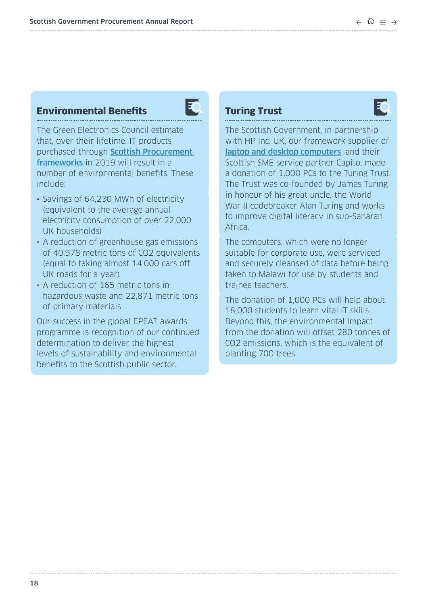# Environmental Benefits



The Green Electronics Council estimate that, over their lifetime, IT products purchased through **Scottish Procurement** [frameworks](https://www.gov.scot/publications/frameworks-and-contracts/) in 2019 will result in a number of environmental benefits. These include:

- Savings of 64,230 MWh of electricity (equivalent to the average annual electricity consumption of over 22,000 UK households)
- A reduction of greenhouse gas emissions of 40,978 metric tons of CO2 equivalents (equal to taking almost 14,000 cars off UK roads for a year)
- A reduction of 165 metric tons in hazardous waste and 22,871 metric tons of primary materials

Our success in the global EPEAT awards programme is recognition of our continued determination to deliver the highest levels of sustainability and environmental benefits to the Scottish public sector.

# Turing Trust



The Scottish Government, in partnership with HP Inc. UK, our framework supplier of [laptop and desktop computers](https://www.gov.scot/publications/mobile-client-devices-framework/), and their Scottish SME service partner Capito, made a donation of 1,000 PCs to the Turing Trust. The Trust was co-founded by James Turing in honour of his great uncle, the World War II codebreaker Alan Turing and works to improve digital literacy in sub-Saharan Africa.

The computers, which were no longer suitable for corporate use, were serviced and securely cleansed of data before being taken to Malawi for use by students and trainee teachers.

The donation of 1,000 PCs will help about 18,000 students to learn vital IT skills. Beyond this, the environmental impact from the donation will offset 280 tonnes of CO2 emissions, which is the equivalent of planting 700 trees.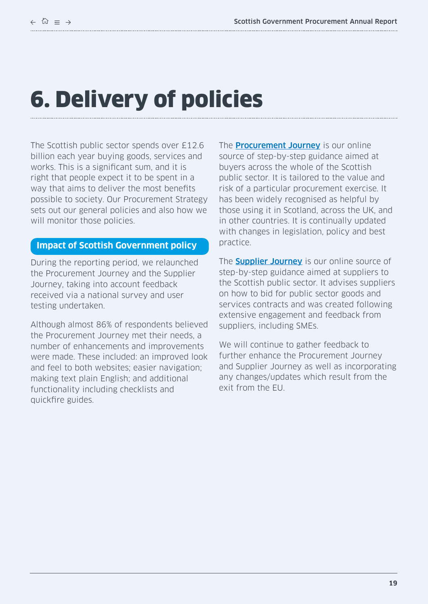# <span id="page-18-0"></span>6. Delivery of policies

The Scottish public sector spends over £12.6 billion each year buying goods, services and works. This is a significant sum, and it is right that people expect it to be spent in a way that aims to deliver the most benefits possible to society. Our Procurement Strategy sets out our general policies and also how we will monitor those policies.

#### **Impact of Scottish Government policy**

During the reporting period, we relaunched the Procurement Journey and the Supplier Journey, taking into account feedback received via a national survey and user testing undertaken.

Although almost 86% of respondents believed the Procurement Journey met their needs, a number of enhancements and improvements were made. These included: an improved look and feel to both websites; easier navigation; making text plain English; and additional functionality including checklists and quickfire guides.

The **[Procurement Journey](https://www.procurementjourney.scot/)** is our online source of step-by-step guidance aimed at buyers across the whole of the Scottish public sector. It is tailored to the value and risk of a particular procurement exercise. It has been widely recognised as helpful by those using it in Scotland, across the UK, and in other countries. It is continually updated with changes in legislation, policy and best practice.

The **[Supplier Journey](http://www.gov.scot/Topics/Government/Procurement/Selling/SupplierJourney)** is our online source of step-by-step guidance aimed at suppliers to the Scottish public sector. It advises suppliers on how to bid for public sector goods and services contracts and was created following extensive engagement and feedback from suppliers, including SMEs.

We will continue to gather feedback to further enhance the Procurement Journey and Supplier Journey as well as incorporating any changes/updates which result from the exit from the EU.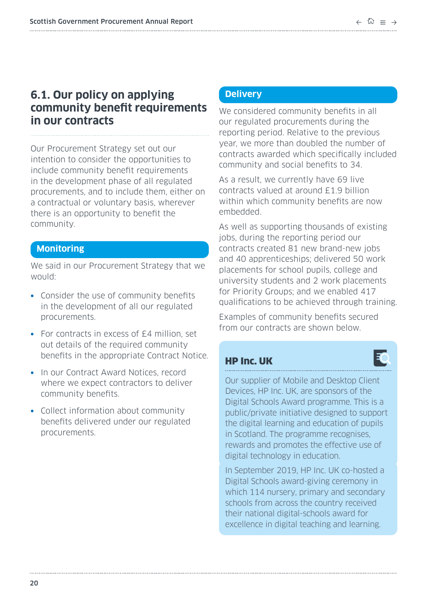# <span id="page-19-0"></span>**6.1. Our policy on applying community benefit requirements in our contracts**

Our Procurement Strategy set out our intention to consider the opportunities to include community benefit requirements in the development phase of all regulated procurements, and to include them, either on a contractual or voluntary basis, wherever there is an opportunity to benefit the community.

# **Monitoring**

We said in our Procurement Strategy that we would:

- **•** Consider the use of community benefits in the development of all our regulated procurements.
- **•** For contracts in excess of £4 million, set out details of the required community benefits in the appropriate Contract Notice.
- **•** In our Contract Award Notices, record where we expect contractors to deliver community benefits.
- **•** Collect information about community benefits delivered under our regulated procurements.

# **Delivery**

We considered community benefits in all our regulated procurements during the reporting period. Relative to the previous year, we more than doubled the number of contracts awarded which specifically included community and social benefits to 34.

As a result, we currently have 69 live contracts valued at around £1.9 billion within which community benefits are now embedded.

As well as supporting thousands of existing jobs, during the reporting period our contracts created 81 new brand-new jobs and 40 apprenticeships; delivered 50 work placements for school pupils, college and university students and 2 work placements for Priority Groups; and we enabled 417 qualifications to be achieved through training.

Examples of community benefits secured from our contracts are shown below.

# HP Inc. UK

Our supplier of Mobile and Desktop Client Devices, HP Inc. UK, are sponsors of the Digital Schools Award programme. This is a public/private initiative designed to support the digital learning and education of pupils in Scotland. The programme recognises, rewards and promotes the effective use of digital technology in education.

In September 2019, HP Inc. UK co-hosted a Digital Schools award-giving ceremony in which 114 nursery, primary and secondary schools from across the country received their national digital-schools award for excellence in digital teaching and learning.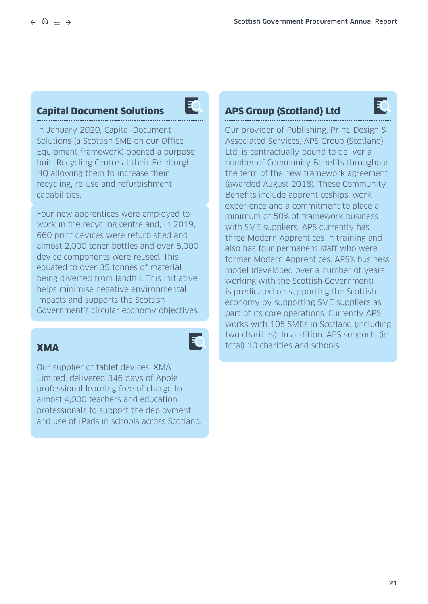# Capital Document Solutions



In January 2020, Capital Document Solutions (a Scottish SME on our Office Equipment framework) opened a purposebuilt Recycling Centre at their Edinburgh HQ allowing them to increase their recycling, re-use and refurbishment capabilities.

Four new apprentices were employed to work in the recycling centre and, in 2019, 660 print devices were refurbished and almost 2,000 toner bottles and over 5,000 device components were reused. This equated to over 35 tonnes of material being diverted from landfill. This initiative helps minimise negative environmental impacts and supports the Scottish Government's circular economy objectives.

# **XMA**

30

Our supplier of tablet devices, XMA Limited, delivered 346 days of Apple professional learning free of charge to almost 4,000 teachers and education professionals to support the deployment and use of iPads in schools across Scotland.

# APS Group (Scotland) Ltd



Our provider of Publishing, Print, Design & Associated Services, APS Group (Scotland) Ltd, is contractually bound to deliver a number of Community Benefits throughout the term of the new framework agreement (awarded August 2018). These Community Benefits include apprenticeships, work experience and a commitment to place a minimum of 50% of framework business with SME suppliers. APS currently has three Modern Apprentices in training and also has four permanent staff who were former Modern Apprentices. APS's business model (developed over a number of years working with the Scottish Government) is predicated on supporting the Scottish economy by supporting SME suppliers as part of its core operations. Currently APS works with 105 SMEs in Scotland (including two charities). In addition, APS supports (in total) 10 charities and schools.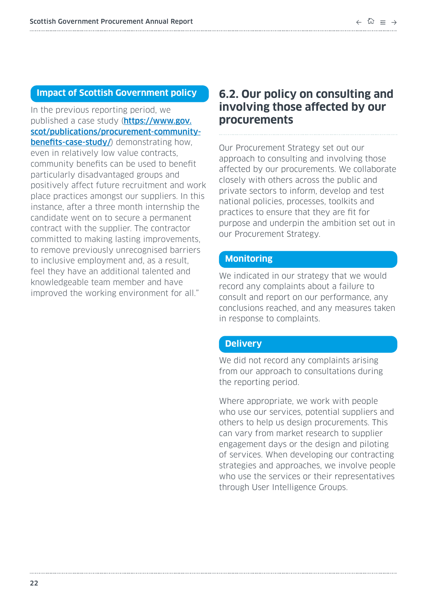## <span id="page-21-0"></span>**Impact of Scottish Government policy**

In the previous reporting period, we published a case study ([https://www.gov.](https://www.gov.scot/publications/procurement-community-benefits-case-study/) [scot/publications/procurement-community](https://www.gov.scot/publications/procurement-community-benefits-case-study/)[benefits-case-study/](https://www.gov.scot/publications/procurement-community-benefits-case-study/)) demonstrating how. even in relatively low value contracts, community benefits can be used to benefit particularly disadvantaged groups and positively affect future recruitment and work place practices amongst our suppliers. In this instance, after a three month internship the candidate went on to secure a permanent contract with the supplier. The contractor committed to making lasting improvements, to remove previously unrecognised barriers to inclusive employment and, as a result, feel they have an additional talented and knowledgeable team member and have improved the working environment for all."

# **6.2. Our policy on consulting and involving those affected by our procurements**

Our Procurement Strategy set out our approach to consulting and involving those affected by our procurements. We collaborate closely with others across the public and private sectors to inform, develop and test national policies, processes, toolkits and practices to ensure that they are fit for purpose and underpin the ambition set out in our Procurement Strategy.

#### **Monitoring**

We indicated in our strategy that we would record any complaints about a failure to consult and report on our performance, any conclusions reached, and any measures taken in response to complaints.

#### **Delivery**

We did not record any complaints arising from our approach to consultations during the reporting period.

Where appropriate, we work with people who use our services, potential suppliers and others to help us design procurements. This can vary from market research to supplier engagement days or the design and piloting of services. When developing our contracting strategies and approaches, we involve people who use the services or their representatives through User Intelligence Groups.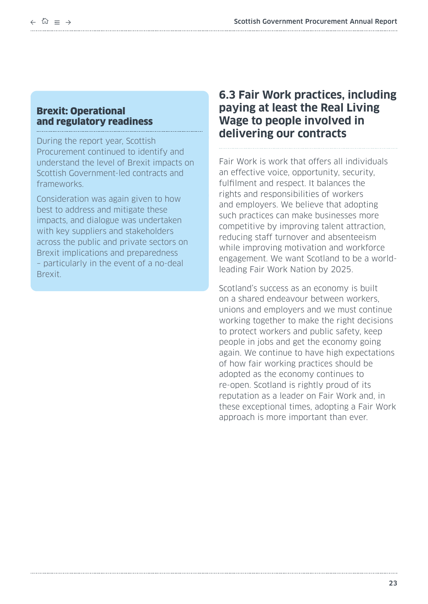# <span id="page-22-0"></span>Brexit: Operational and regulatory readiness

During the report year, Scottish Procurement continued to identify and understand the level of Brexit impacts on Scottish Government-led contracts and frameworks.

Consideration was again given to how best to address and mitigate these impacts, and dialogue was undertaken with key suppliers and stakeholders across the public and private sectors on Brexit implications and preparedness – particularly in the event of a no-deal Brexit.

# **6.3 Fair Work practices, including paying at least the Real Living Wage to people involved in delivering our contracts**

Fair Work is work that offers all individuals an effective voice, opportunity, security, fulfilment and respect. It balances the rights and responsibilities of workers and employers. We believe that adopting such practices can make businesses more competitive by improving talent attraction, reducing staff turnover and absenteeism while improving motivation and workforce engagement. We want Scotland to be a worldleading Fair Work Nation by 2025.

Scotland's success as an economy is built on a shared endeavour between workers, unions and employers and we must continue working together to make the right decisions to protect workers and public safety, keep people in jobs and get the economy going again. We continue to have high expectations of how fair working practices should be adopted as the economy continues to re-open. Scotland is rightly proud of its reputation as a leader on Fair Work and, in these exceptional times, adopting a Fair Work approach is more important than ever.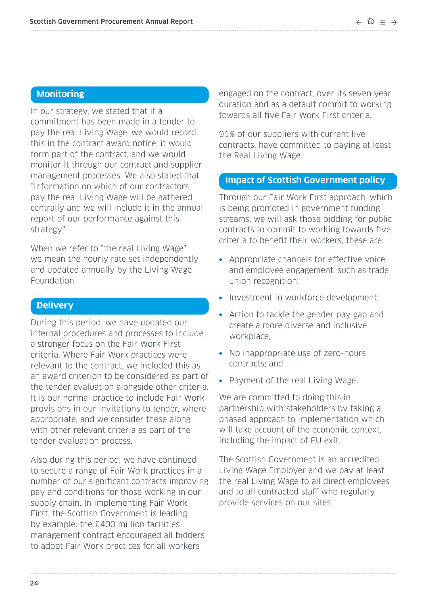# **Monitoring**

In our strategy, we stated that if a commitment has been made in a tender to pay the real Living Wage, we would record this in the contract award notice, it would form part of the contract, and we would monitor it through our contract and supplier management processes. We also stated that "Information on which of our contractors pay the real Living Wage will be gathered centrally and we will include it in the annual report of our performance against this strategy".

When we refer to "the real Living Wage" we mean the hourly rate set independently and updated annually by the Living Wage Foundation.

# **Delivery**

During this period, we have updated our internal procedures and processes to include a stronger focus on the Fair Work First criteria. Where Fair Work practices were relevant to the contract, we included this as an award criterion to be considered as part of the tender evaluation alongside other criteria. It is our normal practice to include Fair Work provisions in our invitations to tender, where appropriate, and we consider these along with other relevant criteria as part of the tender evaluation process.

Also during this period, we have continued to secure a range of Fair Work practices in a number of our significant contracts improving pay and conditions for those working in our supply chain. In implementing Fair Work First, the Scottish Government is leading by example: the £400 million facilities management contract encouraged all bidders to adopt Fair Work practices for all workers

engaged on the contract, over its seven year duration and as a default commit to working towards all five Fair Work First criteria.

91% of our suppliers with current live contracts, have committed to paying at least the Real Living Wage.

#### **Impact of Scottish Government policy**

Through our Fair Work First approach, which is being promoted in government funding streams, we will ask those bidding for public contracts to commit to working towards five criteria to benefit their workers, these are:

- **•** Appropriate channels for effective voice and employee engagement, such as trade union recognition;
- **•** Investment in workforce development;
- **•** Action to tackle the gender pay gap and create a more diverse and inclusive workplace;
- **•** No inappropriate use of zero-hours contracts; and
- **•** Payment of the real Living Wage.

We are committed to doing this in partnership with stakeholders by taking a phased approach to implementation which will take account of the economic context, including the impact of EU exit.

The Scottish Government is an accredited Living Wage Employer and we pay at least the real Living Wage to all direct employees and to all contracted staff who regularly provide services on our sites.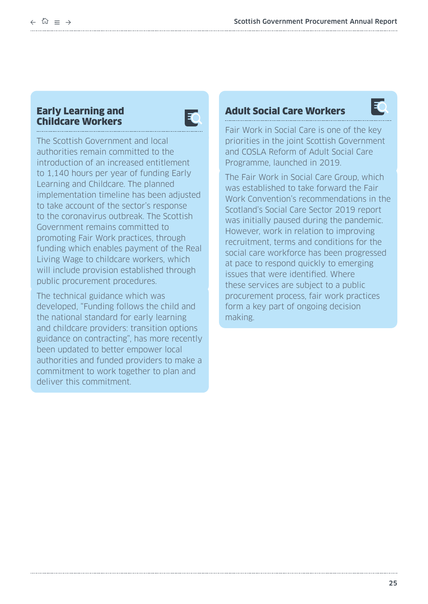# Early Learning and Childcare Workers



The Scottish Government and local authorities remain committed to the introduction of an increased entitlement to 1,140 hours per year of funding Early Learning and Childcare. The planned implementation timeline has been adjusted to take account of the sector's response to the coronavirus outbreak. The Scottish Government remains committed to promoting Fair Work practices, through funding which enables payment of the Real Living Wage to childcare workers, which will include provision established through public procurement procedures.

The technical guidance which was developed, "Funding follows the child and the national standard for early learning and childcare providers: transition options guidance on contracting", has more recently been updated to better empower local authorities and funded providers to make a commitment to work together to plan and deliver this commitment.

# Adult Social Care Workers



Fair Work in Social Care is one of the key priorities in the joint Scottish Government and COSLA Reform of Adult Social Care Programme, launched in 2019.

The Fair Work in Social Care Group, which was established to take forward the Fair Work Convention's recommendations in the Scotland's Social Care Sector 2019 report was initially paused during the pandemic. However, work in relation to improving recruitment, terms and conditions for the social care workforce has been progressed at pace to respond quickly to emerging issues that were identified. Where these services are subject to a public procurement process, fair work practices form a key part of ongoing decision making.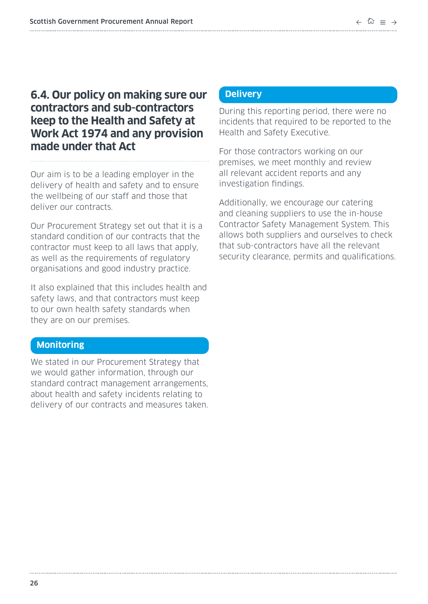# <span id="page-25-0"></span>**6.4. Our policy on making sure our contractors and sub-contractors keep to the Health and Safety at Work Act 1974 and any provision made under that Act**

Our aim is to be a leading employer in the delivery of health and safety and to ensure the wellbeing of our staff and those that deliver our contracts.

Our Procurement Strategy set out that it is a standard condition of our contracts that the contractor must keep to all laws that apply, as well as the requirements of regulatory organisations and good industry practice.

It also explained that this includes health and safety laws, and that contractors must keep to our own health safety standards when they are on our premises.

## **Monitoring**

We stated in our Procurement Strategy that we would gather information, through our standard contract management arrangements, about health and safety incidents relating to delivery of our contracts and measures taken.

# **Delivery**

During this reporting period, there were no incidents that required to be reported to the Health and Safety Executive.

For those contractors working on our premises, we meet monthly and review all relevant accident reports and any investigation findings.

Additionally, we encourage our catering and cleaning suppliers to use the in-house Contractor Safety Management System. This allows both suppliers and ourselves to check that sub-contractors have all the relevant security clearance, permits and qualifications.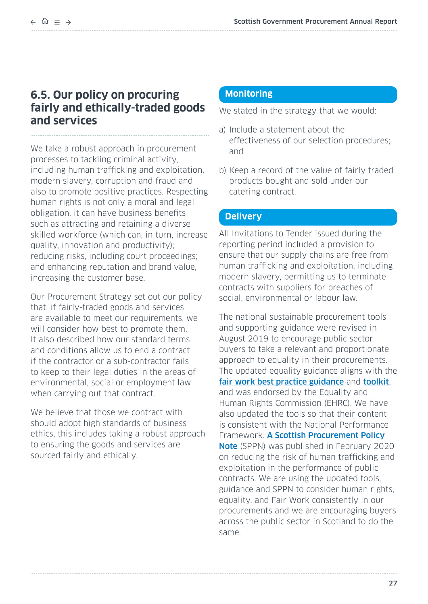# <span id="page-26-0"></span>**6.5. Our policy on procuring fairly and ethically-traded goods and services**

We take a robust approach in procurement processes to tackling criminal activity, including human trafficking and exploitation, modern slavery, corruption and fraud and also to promote positive practices. Respecting human rights is not only a moral and legal obligation, it can have business benefits such as attracting and retaining a diverse skilled workforce (which can, in turn, increase quality, innovation and productivity); reducing risks, including court proceedings; and enhancing reputation and brand value, increasing the customer base.

Our Procurement Strategy set out our policy that, if fairly-traded goods and services are available to meet our requirements, we will consider how best to promote them. It also described how our standard terms and conditions allow us to end a contract if the contractor or a sub-contractor fails to keep to their legal duties in the areas of environmental, social or employment law when carrying out that contract.

We believe that those we contract with should adopt high standards of business ethics, this includes taking a robust approach to ensuring the goods and services are sourced fairly and ethically.

## **Monitoring**

We stated in the strategy that we would:

- a) Include a statement about the effectiveness of our selection procedures; and
- b) Keep a record of the value of fairly traded products bought and sold under our catering contract.

# **Delivery**

All Invitations to Tender issued during the reporting period included a provision to ensure that our supply chains are free from human trafficking and exploitation, including modern slavery, permitting us to terminate contracts with suppliers for breaches of social, environmental or labour law.

The national sustainable procurement tools and supporting guidance were revised in August 2019 to encourage public sector buyers to take a relevant and proportionate approach to equality in their procurements. The updated equality guidance aligns with the [fair work best practice guidance](https://www.gov.scot/publications/addressing-fair-work-practices-including-real-living-wage-procurement-best/) and [toolkit](https://www.gov.scot/publications/fair-work-practices-in-procurement-toolkit/), and was endorsed by the Equality and Human Rights Commission (EHRC). We have also updated the tools so that their content is consistent with the National Performance Framework. [A Scottish Procurement Policy](https://www.gov.scot/publications/reducing-the-risk-of-human-trafficking-and-exploitation-in-the-performance-of-public-contracts-sppn-3-2020/)  [Note](https://www.gov.scot/publications/reducing-the-risk-of-human-trafficking-and-exploitation-in-the-performance-of-public-contracts-sppn-3-2020/) (SPPN) was published in February 2020 on reducing the risk of human trafficking and exploitation in the performance of public contracts. We are using the updated tools, guidance and SPPN to consider human rights, equality, and Fair Work consistently in our procurements and we are encouraging buyers across the public sector in Scotland to do the same.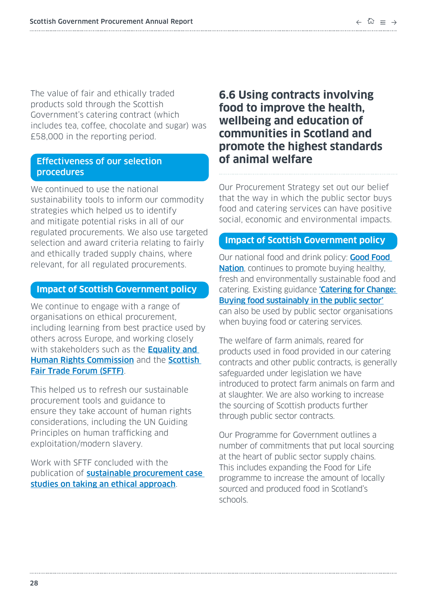<span id="page-27-0"></span>The value of fair and ethically traded products sold through the Scottish Government's catering contract (which includes tea, coffee, chocolate and sugar) was £58,000 in the reporting period.

# Effectiveness of our selection procedures

We continued to use the national sustainability tools to inform our commodity strategies which helped us to identify and mitigate potential risks in all of our regulated procurements. We also use targeted selection and award criteria relating to fairly and ethically traded supply chains, where relevant, for all regulated procurements.

## **Impact of Scottish Government policy**

We continue to engage with a range of organisations on ethical procurement, including learning from best practice used by others across Europe, and working closely with stakeholders such as the **Equality and** [Human Rights Commission](https://www.equalityhumanrights.com/en) and the **Scottish** [Fair Trade Forum \(SFTF\)](http://www.scottishfairtradeforum.org.uk/).

This helped us to refresh our sustainable procurement tools and guidance to ensure they take account of human rights considerations, including the UN Guiding Principles on human trafficking and exploitation/modern slavery.

Work with SFTF concluded with the publication of **sustainable procurement case** [studies on taking an ethical approach](https://www.scottishfairtradeforum.org.uk/resources/business-and-procurement/ethical-procurement/).

# **6.6 Using contracts involving food to improve the health, wellbeing and education of communities in Scotland and promote the highest standards of animal welfare**

Our Procurement Strategy set out our belief that the way in which the public sector buys food and catering services can have positive social, economic and environmental impacts.

# **Impact of Scottish Government policy**

Our national food and drink policy: **Good Food [Nation](https://www.gov.scot/publications/recipe-success-scotlands-national-food-drink-policy-becoming-good-food/)**, continues to promote buying healthy, fresh and environmentally sustainable food and catering. Existing guidance **'Catering for Change:** [Buying food sustainably in the public sector'](http://www.gov.scot/Publications/2011/01/12154555/0) can also be used by public sector organisations when buying food or catering services.

The welfare of farm animals, reared for products used in food provided in our catering contracts and other public contracts, is generally safeguarded under legislation we have introduced to protect farm animals on farm and at slaughter. We are also working to increase the sourcing of Scottish products further through public sector contracts.

Our Programme for Government outlines a number of commitments that put local sourcing at the heart of public sector supply chains. This includes expanding the Food for Life programme to increase the amount of locally sourced and produced food in Scotland's schools.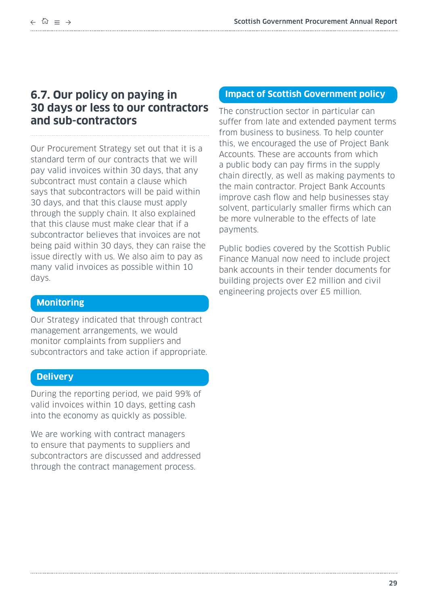# <span id="page-28-0"></span>**6.7. Our policy on paying in 30 days or less to our contractors and sub-contractors**

Our Procurement Strategy set out that it is a standard term of our contracts that we will pay valid invoices within 30 days, that any subcontract must contain a clause which says that subcontractors will be paid within 30 days, and that this clause must apply through the supply chain. It also explained that this clause must make clear that if a subcontractor believes that invoices are not being paid within 30 days, they can raise the issue directly with us. We also aim to pay as many valid invoices as possible within 10 days.

## **Monitoring**

Our Strategy indicated that through contract management arrangements, we would monitor complaints from suppliers and subcontractors and take action if appropriate.

#### **Delivery**

During the reporting period, we paid 99% of valid invoices within 10 days, getting cash into the economy as quickly as possible.

We are working with contract managers to ensure that payments to suppliers and subcontractors are discussed and addressed through the contract management process.

#### **Impact of Scottish Government policy**

The construction sector in particular can suffer from late and extended payment terms from business to business. To help counter this, we encouraged the use of Project Bank Accounts. These are accounts from which a public body can pay firms in the supply chain directly, as well as making payments to the main contractor. Project Bank Accounts improve cash flow and help businesses stay solvent, particularly smaller firms which can be more vulnerable to the effects of late payments.

Public bodies covered by the Scottish Public Finance Manual now need to include project bank accounts in their tender documents for building projects over £2 million and civil engineering projects over £5 million.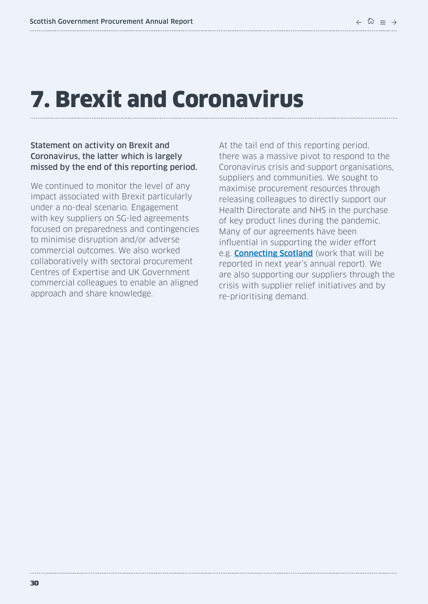# <span id="page-29-0"></span>7. Brexit and Coronavirus

#### Statement on activity on Brexit and Coronavirus, the latter which is largely missed by the end of this reporting period.

We continued to monitor the level of any impact associated with Brexit particularly under a no-deal scenario. Engagement with key suppliers on SG-led agreements focused on preparedness and contingencies to minimise disruption and/or adverse commercial outcomes. We also worked collaboratively with sectoral procurement Centres of Expertise and UK Government commercial colleagues to enable an aligned approach and share knowledge.

At the tail end of this reporting period, there was a massive pivot to respond to the Coronavirus crisis and support organisations, suppliers and communities. We sought to maximise procurement resources through releasing colleagues to directly support our Health Directorate and NHS in the purchase of key product lines during the pandemic. Many of our agreements have been influential in supporting the wider effort e.g. [Connecting Scotland](https://connecting.scot/) (work that will be reported in next year's annual report). We are also supporting our suppliers through the crisis with supplier relief initiatives and by re-prioritising demand.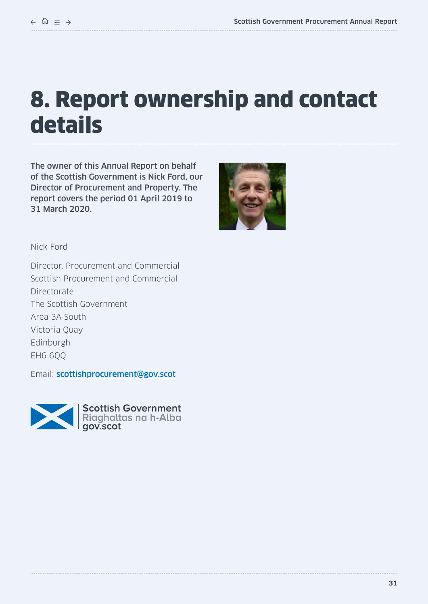# <span id="page-30-0"></span>8. Report ownership and contact details

The owner of this Annual Report on behalf of the Scottish Government is Nick Ford, our Director of Procurement and Property. The report covers the period 01 April 2019 to 31 March 2020.



Nick Ford

Director, Procurement and Commercial Scottish Procurement and Commercial Directorate The Scottish Government Area 3A South Victoria Quay Edinburgh EH6 6QQ

Email: [scottishprocurement@gov.scot](mailto:scottishprocurement%40gov.scot?subject=)



Scottish Government<br>Riaghaltas na h-Alba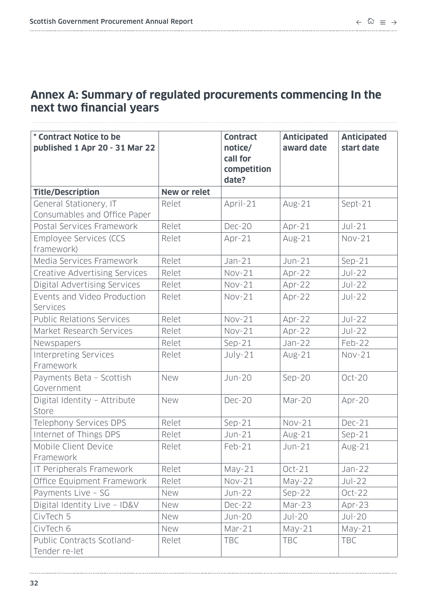# <span id="page-31-0"></span>**Annex A: Summary of regulated procurements commencing In the next two financial years**

| * Contract Notice to be<br>published 1 Apr 20 - 31 Mar 22 |                     | <b>Contract</b><br>notice/<br>call for<br>competition<br>date? | <b>Anticipated</b><br>award date | <b>Anticipated</b><br>start date |
|-----------------------------------------------------------|---------------------|----------------------------------------------------------------|----------------------------------|----------------------------------|
| <b>Title/Description</b>                                  | <b>New or relet</b> |                                                                |                                  |                                  |
| General Stationery, IT<br>Consumables and Office Paper    | Relet               | April-21                                                       | $Avg-21$                         | Sept-21                          |
| Postal Services Framework                                 | Relet               | <b>Dec-20</b>                                                  | Apr-21                           | $Jul-21$                         |
| Employee Services (CCS<br>framework)                      | Relet               | Apr-21                                                         | $Avg-21$                         | $Nov-21$                         |
| Media Services Framework                                  | Relet               | $Jan-21$                                                       | $Jun-21$                         | $Sep-21$                         |
| Creative Advertising Services                             | Relet               | $Nov-21$                                                       | Apr-22                           | $Jul-22$                         |
| <b>Digital Advertising Services</b>                       | Relet               | $Nov-21$                                                       | Apr-22                           | $Jul-22$                         |
| Events and Video Production<br>Services                   | Relet               | $Nov-21$                                                       | Apr-22                           | $Jul-22$                         |
| <b>Public Relations Services</b>                          | Relet               | $Nov-21$                                                       | Apr-22                           | $Jul-22$                         |
| Market Research Services                                  | Relet               | $Nov-21$                                                       | Apr-22                           | $Jul-22$                         |
| Newspapers                                                | Relet               | $Sep-21$                                                       | $Jan-22$                         | Feb-22                           |
| <b>Interpreting Services</b><br>Framework                 | Relet               | $July-21$                                                      | $Avg-21$                         | $Nov-21$                         |
| Payments Beta - Scottish<br>Government                    | New                 | <b>Jun-20</b>                                                  | $Sep-20$                         | Oct-20                           |
| Digital Identity - Attribute<br>Store                     | New                 | <b>Dec-20</b>                                                  | Mar-20                           | Apr-20                           |
| Telephony Services DPS                                    | Relet               | $Sep-21$                                                       | $Nov-21$                         | <b>Dec-21</b>                    |
| Internet of Things DPS                                    | Relet               | $Jun-21$                                                       | Aug-21                           | $Sep-21$                         |
| Mobile Client Device<br>Framework                         | Relet               | $Feb-21$                                                       | $Jun-21$                         | $Avg-21$                         |
| IT Peripherals Framework                                  | Relet               | $May-21$                                                       | $Oct-21$                         | Jan-22                           |
| Office Equipment Framework                                | Relet               | $Nov-21$                                                       | $May-22$                         | $Jul-22$                         |
| Payments Live - SG                                        | New                 | <b>Jun-22</b>                                                  | $Sep-22$                         | $Oct-22$                         |
| Digital Identity Live - ID&V                              | New                 | <b>Dec-22</b>                                                  | Mar-23                           | Apr-23                           |
| CivTech 5                                                 | New                 | <b>Jun-20</b>                                                  | $Jul-20$                         | $Jul-20$                         |
| CivTech 6                                                 | New                 | Mar-21                                                         | $May-21$                         | $May-21$                         |
| Public Contracts Scotland-<br>Tender re-let               | Relet               | <b>TBC</b>                                                     | <b>TBC</b>                       | <b>TBC</b>                       |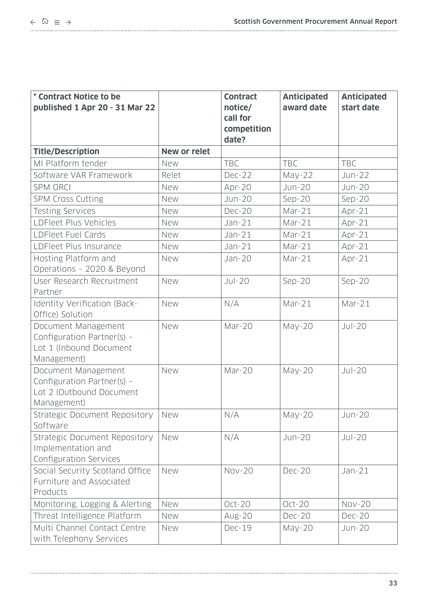| * Contract Notice to be<br>published 1 Apr 20 - 31 Mar 22                                    |                     | <b>Contract</b><br>notice/<br>call for<br>competition<br>date? | <b>Anticipated</b><br>award date | <b>Anticipated</b><br>start date |
|----------------------------------------------------------------------------------------------|---------------------|----------------------------------------------------------------|----------------------------------|----------------------------------|
| <b>Title/Description</b>                                                                     | <b>New or relet</b> |                                                                |                                  |                                  |
| MI Platform tender                                                                           | <b>New</b>          | <b>TBC</b>                                                     | <b>TBC</b>                       | <b>TBC</b>                       |
| Software VAR Framework                                                                       | Relet               | <b>Dec-22</b>                                                  | May-22                           | <b>Jun-22</b>                    |
| <b>SPM ORCI</b>                                                                              | <b>New</b>          | Apr-20                                                         | <b>Jun-20</b>                    | <b>Jun-20</b>                    |
| <b>SPM Cross Cutting</b>                                                                     | <b>New</b>          | <b>Jun-20</b>                                                  | $Sep-20$                         | $Sep-20$                         |
| <b>Testing Services</b>                                                                      | New                 | <b>Dec-20</b>                                                  | $Mar-21$                         | $Apr-21$                         |
| LDFleet Plus Vehicles                                                                        | New                 | $Jan-21$                                                       | $Mar-21$                         | Apr-21                           |
| LDFleet Fuel Cards                                                                           | New                 | $Jan-21$                                                       | $Mar-21$                         | $Apr-21$                         |
| LDFleet Plus Insurance                                                                       | New                 | $Jan-21$                                                       | $Mar-21$                         | $Apr-21$                         |
| Hosting Platform and<br>Operations - 2020 & Beyond                                           | New                 | <b>Jan-20</b>                                                  | $Mar-21$                         | $Apr-21$                         |
| User Research Recruitment<br>Partner                                                         | New                 | $Jul-20$                                                       | $Sep-20$                         | $Sep-20$                         |
| Identity Verification (Back-<br>Office) Solution                                             | <b>New</b>          | N/A                                                            | $Mar-21$                         | Mar-21                           |
| Document Management<br>Configuration Partner(s) -<br>Lot 1 (Inbound Document<br>Management)  | New                 | Mar-20                                                         | $May-20$                         | $Jul-20$                         |
| Document Management<br>Configuration Partner(s) -<br>Lot 2 (Outbound Document<br>Management) | New                 | Mar-20                                                         | $May-20$                         | $Jul-20$                         |
| Strategic Document Repository<br>Software                                                    | <b>New</b>          | N/A                                                            | $May-20$                         | <b>Jun-20</b>                    |
| <b>Strategic Document Repository</b><br>Implementation and<br>Configuration Services         | <b>New</b>          | N/A                                                            | <b>Jun-20</b>                    | $Jul-20$                         |
| Social Security Scotland Office<br>Furniture and Associated<br>Products                      | New                 | <b>Nov-20</b>                                                  | <b>Dec-20</b>                    | $Jan-21$                         |
| Monitoring, Logging & Alerting                                                               | New                 | $Oct-20$                                                       | $Oct-20$                         | <b>Nov-20</b>                    |
| Threat Intelligence Platform                                                                 | New                 | Aug-20                                                         | <b>Dec-20</b>                    | <b>Dec-20</b>                    |
| Multi Channel Contact Centre<br>with Telephony Services                                      | New                 | <b>Dec-19</b>                                                  | $May-20$                         | <b>Jun-20</b>                    |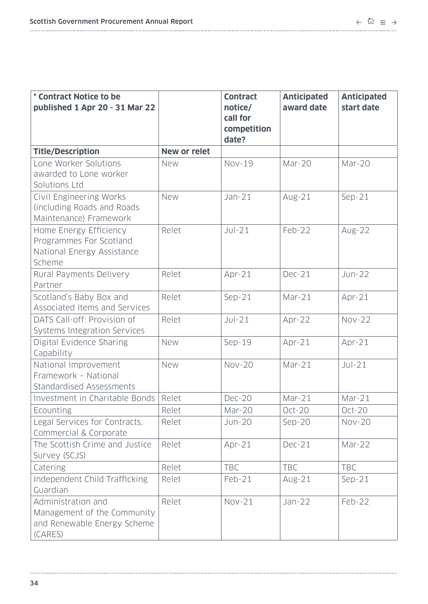| * Contract Notice to be<br>published 1 Apr 20 - 31 Mar 22                                   |                     | <b>Contract</b><br>notice/<br>call for<br>competition<br>date? | <b>Anticipated</b><br>award date | <b>Anticipated</b><br>start date |
|---------------------------------------------------------------------------------------------|---------------------|----------------------------------------------------------------|----------------------------------|----------------------------------|
| <b>Title/Description</b>                                                                    | <b>New or relet</b> |                                                                |                                  |                                  |
| Lone Worker Solutions<br>awarded to Lone worker<br>Solutions Ltd                            | <b>New</b>          | <b>Nov-19</b>                                                  | Mar-20                           | Mar-20                           |
| Civil Engineering Works<br>(including Roads and Roads)<br>Maintenance) Framework            | New                 | $Jan-21$                                                       | $Avg-21$                         | $Sep-21$                         |
| Home Energy Efficiency<br>Programmes For Scotland<br>National Energy Assistance<br>Scheme   | Relet               | $Jul-21$                                                       | Feb-22                           | Aug-22                           |
| Rural Payments Delivery<br>Partner                                                          | Relet               | Apr-21                                                         | <b>Dec-21</b>                    | $Jun-22$                         |
| Scotland's Baby Box and<br>Associated Items and Services                                    | Relet               | $Sep-21$                                                       | $Mar-21$                         | Apr-21                           |
| DATS Call-off: Provision of<br>Systems Integration Services                                 | Relet               | $Jul-21$                                                       | Apr-22                           | <b>Nov-22</b>                    |
| Digital Evidence Sharing<br>Capability                                                      | New                 | Sep-19                                                         | $Apr-21$                         | $Apr-21$                         |
| National Improvement<br>Framework - National<br>Standardised Assessments                    | New                 | <b>Nov-20</b>                                                  | Mar-21                           | $Jul-21$                         |
| Investment in Charitable Bonds                                                              | Relet               | <b>Dec-20</b>                                                  | $Mar-21$                         | $Mar-21$                         |
| Ecounting                                                                                   | Relet               | Mar-20                                                         | $Oct-20$                         | $Oct-20$                         |
| Legal Services for Contracts,<br>Commercial & Corporate                                     | Relet               | <b>Jun-20</b>                                                  | $Sep-20$                         | <b>Nov-20</b>                    |
| The Scottish Crime and Justice<br>Survey (SCJS)                                             | Relet               | $Apr-21$                                                       | <b>Dec-21</b>                    | Mar-22                           |
| Catering                                                                                    | Relet               | <b>TBC</b>                                                     | <b>TBC</b>                       | <b>TBC</b>                       |
| Independent Child Trafficking<br>Guardian                                                   | Relet               | $Feb-21$                                                       | $Avg-21$                         | $Sep-21$                         |
| Administration and<br>Management of the Community<br>and Renewable Energy Scheme<br>(CARES) | Relet               | $Nov-21$                                                       | $Jan-22$                         | Feb-22                           |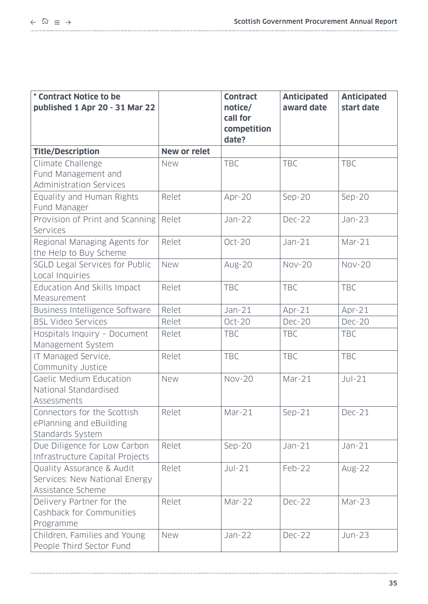| * Contract Notice to be<br>published 1 Apr 20 - 31 Mar 22                       |                     | <b>Contract</b><br>notice/<br>call for<br>competition<br>date? | <b>Anticipated</b><br>award date | <b>Anticipated</b><br>start date |
|---------------------------------------------------------------------------------|---------------------|----------------------------------------------------------------|----------------------------------|----------------------------------|
| <b>Title/Description</b>                                                        | <b>New or relet</b> |                                                                |                                  |                                  |
| Climate Challenge<br>Fund Management and<br><b>Administration Services</b>      | New                 | <b>TBC</b>                                                     | <b>TBC</b>                       | <b>TBC</b>                       |
| Equality and Human Rights<br>Fund Manager                                       | Relet               | Apr-20                                                         | $Sep-20$                         | $Sep-20$                         |
| Provision of Print and Scanning<br>Services                                     | Relet               | $Jan-22$                                                       | <b>Dec-22</b>                    | Jan-23                           |
| Regional Managing Agents for<br>the Help to Buy Scheme                          | Relet               | $Oct-20$                                                       | $Jan-21$                         | $Mar-21$                         |
| SGLD Legal Services for Public<br>Local Inquiries                               | <b>New</b>          | <b>Aug-20</b>                                                  | <b>Nov-20</b>                    | <b>Nov-20</b>                    |
| Education And Skills Impact<br>Measurement                                      | Relet               | <b>TBC</b>                                                     | <b>TBC</b>                       | <b>TBC</b>                       |
| Business Intelligence Software                                                  | Relet               | $Jan-21$                                                       | $Apr-21$                         | $Apr-21$                         |
| <b>BSL Video Services</b>                                                       | Relet               | $Oct-20$                                                       | <b>Dec-20</b>                    | <b>Dec-20</b>                    |
| Hospitals Inquiry - Document<br>Management System                               | Relet               | <b>TBC</b>                                                     | <b>TBC</b>                       | <b>TBC</b>                       |
| IT Managed Service,<br>Community Justice                                        | Relet               | <b>TBC</b>                                                     | <b>TBC</b>                       | <b>TBC</b>                       |
| Gaelic Medium Education<br>National Standardised<br>Assessments                 | New                 | <b>Nov-20</b>                                                  | $Mar-21$                         | $Jul-21$                         |
| Connectors for the Scottish<br>ePlanning and eBuilding<br>Standards System      | Relet               | $Mar-21$                                                       | $Sep-21$                         | $Dec-21$                         |
| Due Diligence for Low Carbon<br>Infrastructure Capital Projects                 | Relet               | $Sep-20$                                                       | $Jan-21$                         | $Jan-21$                         |
| Quality Assurance & Audit<br>Services: New National Energy<br>Assistance Scheme | Relet               | $JU$ -21                                                       | Feb-22                           | Aug-22                           |
| Delivery Partner for the<br>Cashback for Communities<br>Programme               | Relet               | Mar-22                                                         | <b>Dec-22</b>                    | Mar-23                           |
| Children, Families and Young<br>People Third Sector Fund                        | <b>New</b>          | Jan-22                                                         | <b>Dec-22</b>                    | $Jun-23$                         |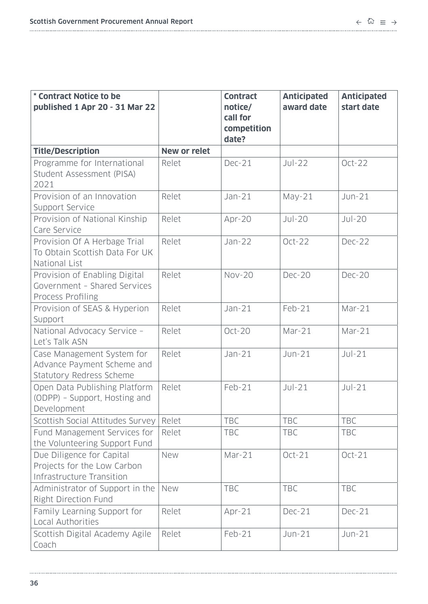| * Contract Notice to be<br>published 1 Apr 20 - 31 Mar 22                                 |                     | <b>Contract</b><br>notice/<br>call for<br>competition<br>date? | <b>Anticipated</b><br>award date | <b>Anticipated</b><br>start date |
|-------------------------------------------------------------------------------------------|---------------------|----------------------------------------------------------------|----------------------------------|----------------------------------|
| <b>Title/Description</b>                                                                  | <b>New or relet</b> |                                                                |                                  |                                  |
| Programme for International<br>Student Assessment (PISA)<br>2021                          | Relet               | $Dec-21$                                                       | $JU$ -22                         | $Oct-22$                         |
| Provision of an Innovation<br>Support Service                                             | Relet               | $Jan-21$                                                       | $May-21$                         | $Jun-21$                         |
| Provision of National Kinship<br>Care Service                                             | Relet               | Apr-20                                                         | $Jul-20$                         | $Jul-20$                         |
| Provision Of A Herbage Trial<br>To Obtain Scottish Data For UK<br>National List           | Relet               | $Jan-22$                                                       | $Oct-22$                         | <b>Dec-22</b>                    |
| Provision of Enabling Digital<br>Government - Shared Services<br><b>Process Profiling</b> | Relet               | <b>Nov-20</b>                                                  | <b>Dec-20</b>                    | <b>Dec-20</b>                    |
| Provision of SEAS & Hyperion<br>Support                                                   | Relet               | $Jan-21$                                                       | $Feb-21$                         | $Mar-21$                         |
| National Advocacy Service -<br>Let's Talk ASN                                             | Relet               | Oct-20                                                         | $Mar-21$                         | Mar-21                           |
| Case Management System for<br>Advance Payment Scheme and<br>Statutory Redress Scheme      | Relet               | $Jan-21$                                                       | $Jun-21$                         | $Jul-21$                         |
| Open Data Publishing Platform<br>(ODPP) - Support, Hosting and<br>Development             | Relet               | $Feb-21$                                                       | $JU$ -21                         | $Jul-21$                         |
| Scottish Social Attitudes Survey                                                          | Relet               | <b>TBC</b>                                                     | <b>TBC</b>                       | <b>TBC</b>                       |
| Fund Management Services for<br>the Volunteering Support Fund                             | Relet               | <b>TBC</b>                                                     | <b>TBC</b>                       | <b>TBC</b>                       |
| Due Diligence for Capital<br>Projects for the Low Carbon<br>Infrastructure Transition     | New                 | Mar-21                                                         | $Oct-21$                         | $Oct-21$                         |
| Administrator of Support in the<br>Right Direction Fund                                   | New                 | <b>TBC</b>                                                     | <b>TBC</b>                       | TBC                              |
| Family Learning Support for<br>Local Authorities                                          | Relet               | Apr-21                                                         | <b>Dec-21</b>                    | <b>Dec-21</b>                    |
| Scottish Digital Academy Agile<br>Coach                                                   | Relet               | Feb-21                                                         | $Jun-21$                         | $Jun-21$                         |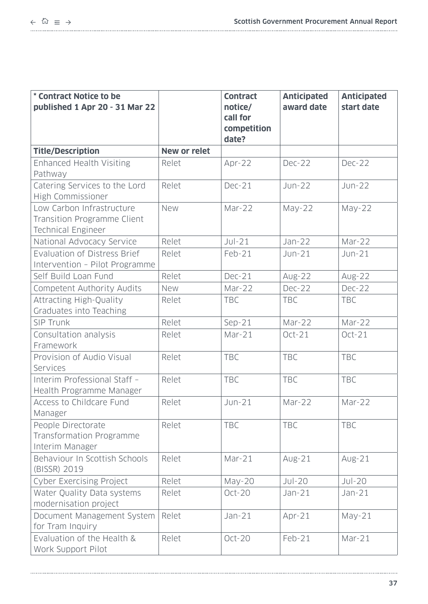| * Contract Notice to be<br>published 1 Apr 20 - 31 Mar 22                                    |                     | <b>Contract</b><br>notice/<br>call for<br>competition<br>date? | <b>Anticipated</b><br>award date | <b>Anticipated</b><br>start date |
|----------------------------------------------------------------------------------------------|---------------------|----------------------------------------------------------------|----------------------------------|----------------------------------|
| <b>Title/Description</b>                                                                     | <b>New or relet</b> |                                                                |                                  |                                  |
| <b>Enhanced Health Visiting</b><br>Pathway                                                   | Relet               | Apr-22                                                         | <b>Dec-22</b>                    | <b>Dec-22</b>                    |
| Catering Services to the Lord<br>High Commissioner                                           | Relet               | <b>Dec-21</b>                                                  | $Jun-22$                         | $Jun-22$                         |
| Low Carbon Infrastructure<br><b>Transition Programme Client</b><br><b>Technical Engineer</b> | New                 | Mar-22                                                         | $May-22$                         | $May-22$                         |
| National Advocacy Service                                                                    | Relet               | $Jul-21$                                                       | $Jan-22$                         | Mar-22                           |
| Evaluation of Distress Brief<br>Intervention - Pilot Programme                               | Relet               | Feb-21                                                         | $Jun-21$                         | $Jun-21$                         |
| Self Build Loan Fund                                                                         | Relet               | <b>Dec-21</b>                                                  | Aug-22                           | Aug-22                           |
| Competent Authority Audits                                                                   | <b>New</b>          | Mar-22                                                         | <b>Dec-22</b>                    | <b>Dec-22</b>                    |
| <b>Attracting High-Quality</b><br>Graduates into Teaching                                    | Relet               | <b>TBC</b>                                                     | <b>TBC</b>                       | <b>TBC</b>                       |
| SIP Trunk                                                                                    | Relet               | $Sep-21$                                                       | Mar-22                           | Mar-22                           |
| Consultation analysis<br>Framework                                                           | Relet               | Mar-21                                                         | $Oct-21$                         | $Oct-21$                         |
| Provision of Audio Visual<br>Services                                                        | Relet               | <b>TBC</b>                                                     | <b>TBC</b>                       | <b>TBC</b>                       |
| Interim Professional Staff -<br>Health Programme Manager                                     | Relet               | <b>TBC</b>                                                     | <b>TBC</b>                       | <b>TBC</b>                       |
| Access to Childcare Fund<br>Manager                                                          | Relet               | $Jun-21$                                                       | Mar-22                           | Mar-22                           |
| People Directorate<br>Transformation Programme<br>Interim Manager                            | Relet               | <b>TBC</b>                                                     | <b>TBC</b>                       | <b>TBC</b>                       |
| Behaviour In Scottish Schools<br>(BISSR) 2019                                                | Relet               | Mar-21                                                         | $Avg-21$                         | $Avg-21$                         |
| Cyber Exercising Project                                                                     | Relet               | May-20                                                         | $Jul-20$                         | $Jul-20$                         |
| Water Quality Data systems<br>modernisation project                                          | Relet               | $Oct-20$                                                       | $Jan-21$                         | $Jan-21$                         |
| Document Management System<br>for Tram Inquiry                                               | Relet               | $Jan-21$                                                       | $Apr-21$                         | May-21                           |
| Evaluation of the Health &<br>Work Support Pilot                                             | Relet               | Oct-20                                                         | Feb-21                           | Mar-21                           |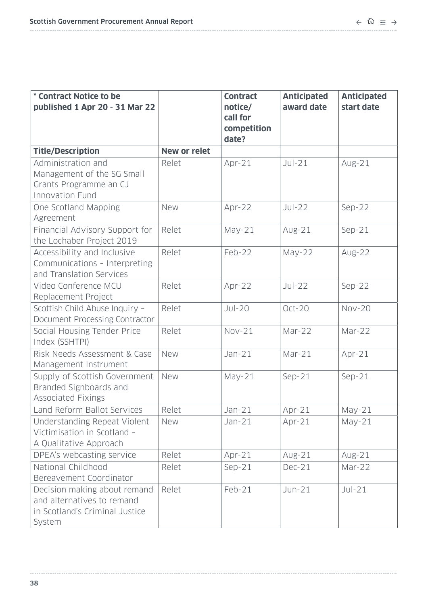| * Contract Notice to be<br>published 1 Apr 20 - 31 Mar 22                                              |                     | <b>Contract</b><br>notice/<br>call for<br>competition<br>date? | <b>Anticipated</b><br>award date | <b>Anticipated</b><br>start date |
|--------------------------------------------------------------------------------------------------------|---------------------|----------------------------------------------------------------|----------------------------------|----------------------------------|
| <b>Title/Description</b>                                                                               | <b>New or relet</b> |                                                                |                                  |                                  |
| Administration and<br>Management of the SG Small<br>Grants Programme an CJ<br>Innovation Fund          | Relet               | Apr-21                                                         | $JU$ -21                         | $Avg-21$                         |
| One Scotland Mapping<br>Agreement                                                                      | New                 | Apr-22                                                         | $Jul-22$                         | $Sep-22$                         |
| Financial Advisory Support for<br>the Lochaber Project 2019                                            | Relet               | $May-21$                                                       | $Avg-21$                         | $Sep-21$                         |
| Accessibility and Inclusive<br>Communications - Interpreting<br>and Translation Services               | Relet               | Feb-22                                                         | $May-22$                         | Aug-22                           |
| Video Conference MCU<br>Replacement Project                                                            | Relet               | Apr-22                                                         | $Jul-22$                         | $Sep-22$                         |
| Scottish Child Abuse Inquiry -<br>Document Processing Contractor                                       | Relet               | $Jul-20$                                                       | $Oct-20$                         | <b>Nov-20</b>                    |
| Social Housing Tender Price<br>Index (SSHTPI)                                                          | Relet               | $Nov-21$                                                       | Mar-22                           | Mar-22                           |
| Risk Needs Assessment & Case<br>Management Instrument                                                  | New                 | $Jan-21$                                                       | Mar-21                           | Apr-21                           |
| Supply of Scottish Government<br>Branded Signboards and<br><b>Associated Fixings</b>                   | New                 | $May-21$                                                       | $Sep-21$                         | $Sep-21$                         |
| Land Reform Ballot Services                                                                            | Relet               | $Jan-21$                                                       | $Apr-21$                         | $May-21$                         |
| Understanding Repeat Violent<br>Victimisation in Scotland -<br>A Qualitative Approach                  | <b>New</b>          | $Jan-21$                                                       | $Apr-21$                         | $May-21$                         |
| DPEA's webcasting service                                                                              | Relet               | $Apr-21$                                                       | $Avg-21$                         | $Avg-21$                         |
| National Childhood<br>Bereavement Coordinator                                                          | Relet               | $Sep-21$                                                       | <b>Dec-21</b>                    | Mar-22                           |
| Decision making about remand<br>and alternatives to remand<br>in Scotland's Criminal Justice<br>System | Relet               | $Feb-21$                                                       | $Jun-21$                         | $JU$ -21                         |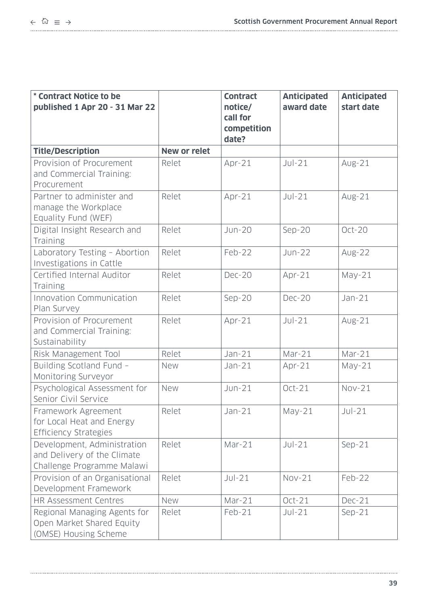| * Contract Notice to be<br>published 1 Apr 20 - 31 Mar 22                                |                     | <b>Contract</b><br>notice/<br>call for<br>competition<br>date? | <b>Anticipated</b><br>award date | <b>Anticipated</b><br>start date |
|------------------------------------------------------------------------------------------|---------------------|----------------------------------------------------------------|----------------------------------|----------------------------------|
| <b>Title/Description</b>                                                                 | <b>New or relet</b> |                                                                |                                  |                                  |
| Provision of Procurement<br>and Commercial Training:<br>Procurement                      | Relet               | Apr-21                                                         | $Jul-21$                         | $Avg-21$                         |
| Partner to administer and<br>manage the Workplace<br>Equality Fund (WEF)                 | Relet               | Apr-21                                                         | $JU$ -21                         | $Avg-21$                         |
| Digital Insight Research and<br>Training                                                 | Relet               | <b>Jun-20</b>                                                  | $Sep-20$                         | $Oct-20$                         |
| Laboratory Testing - Abortion<br>Investigations in Cattle                                | Relet               | Feb-22                                                         | $Jun-22$                         | Aug-22                           |
| Certified Internal Auditor<br>Training                                                   | Relet               | <b>Dec-20</b>                                                  | Apr-21                           | $May-21$                         |
| Innovation Communication<br>Plan Survey                                                  | Relet               | $Sep-20$                                                       | <b>Dec-20</b>                    | $Jan-21$                         |
| Provision of Procurement<br>and Commercial Training:<br>Sustainability                   | Relet               | Apr-21                                                         | $Jul-21$                         | $Avg-21$                         |
| Risk Management Tool                                                                     | Relet               | $Jan-21$                                                       | $Mar-21$                         | Mar-21                           |
| Building Scotland Fund -<br>Monitoring Surveyor                                          | <b>New</b>          | $Jan-21$                                                       | $Apr-21$                         | $May-21$                         |
| Psychological Assessment for<br>Senior Civil Service                                     | New                 | $Jun-21$                                                       | $Oct-21$                         | $Nov-21$                         |
| Framework Agreement<br>for Local Heat and Energy<br><b>Efficiency Strategies</b>         | Relet               | $Jan-21$                                                       | $May-21$                         | $Jul-21$                         |
| Development, Administration<br>and Delivery of the Climate<br>Challenge Programme Malawi | Relet               | Mar-21                                                         | $JU$ -21                         | $Sep-21$                         |
| Provision of an Organisational<br>Development Framework                                  | Relet               | $Jul-21$                                                       | $Nov-21$                         | Feb-22                           |
| <b>HR Assessment Centres</b>                                                             | New                 | Mar-21                                                         | $Oct-21$                         | $Dec-21$                         |
| Regional Managing Agents for<br>Open Market Shared Equity<br>(OMSE) Housing Scheme       | Relet               | $Feb-21$                                                       | $Jul-21$                         | $Sep-21$                         |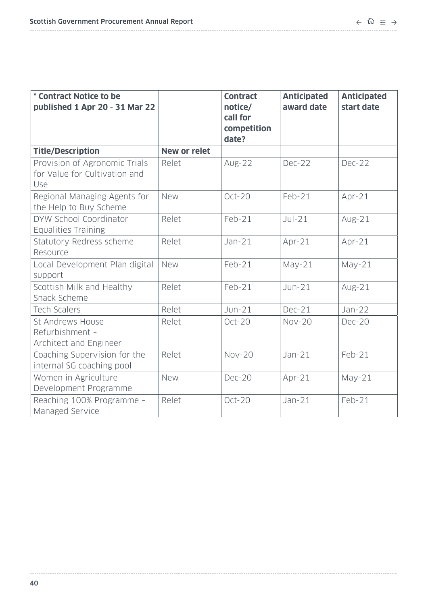| * Contract Notice to be<br>published 1 Apr 20 - 31 Mar 22             |                     | <b>Contract</b><br>notice/<br>call for<br>competition<br>date? | <b>Anticipated</b><br>award date | <b>Anticipated</b><br>start date |
|-----------------------------------------------------------------------|---------------------|----------------------------------------------------------------|----------------------------------|----------------------------------|
| <b>Title/Description</b>                                              | <b>New or relet</b> |                                                                |                                  |                                  |
| Provision of Agronomic Trials<br>for Value for Cultivation and<br>Use | Relet               | <b>Aug-22</b>                                                  | Dec-22                           | Dec-22                           |
| Regional Managing Agents for<br>the Help to Buy Scheme                | <b>New</b>          | $Oct-20$                                                       | Feb-21                           | Apr-21                           |
| DYW School Coordinator<br><b>Equalities Training</b>                  | Relet               | $Feb-21$                                                       | $Jul-21$                         | $Avg-21$                         |
| Statutory Redress scheme<br>Resource                                  | Relet               | $Jan-21$                                                       | $Apr-21$                         | Apr-21                           |
| Local Development Plan digital<br>support                             | <b>New</b>          | $Feb-21$                                                       | $May-21$                         | $May-21$                         |
| Scottish Milk and Healthy<br>Snack Scheme                             | Relet               | Feb-21                                                         | $Jun-21$                         | $Avg-21$                         |
| <b>Tech Scalers</b>                                                   | Relet               | $Jun-21$                                                       | <b>Dec-21</b>                    | $Jan-22$                         |
| St Andrews House<br>Refurbishment -<br>Architect and Engineer         | Relet               | $Oct-20$                                                       | <b>Nov-20</b>                    | <b>Dec-20</b>                    |
| Coaching Supervision for the<br>internal SG coaching pool             | Relet               | <b>Nov-20</b>                                                  | $Jan-21$                         | $Feb-21$                         |
| Women in Agriculture<br>Development Programme                         | New                 | <b>Dec-20</b>                                                  | Apr-21                           | $May-21$                         |
| Reaching 100% Programme -<br>Managed Service                          | Relet               | $Oct-20$                                                       | $Jan-21$                         | Feb-21                           |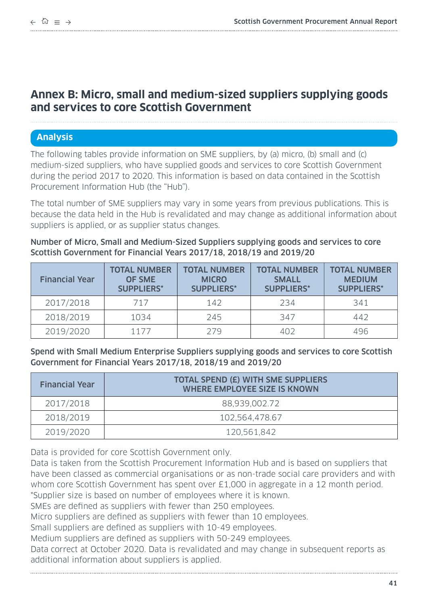# <span id="page-40-0"></span>**Annex B: Micro, small and medium-sized suppliers supplying goods and services to core Scottish Government**

# **Analysis**

The following tables provide information on SME suppliers, by (a) micro, (b) small and (c) medium-sized suppliers, who have supplied goods and services to core Scottish Government during the period 2017 to 2020. This information is based on data contained in the Scottish Procurement Information Hub (the "Hub").

The total number of SME suppliers may vary in some years from previous publications. This is because the data held in the Hub is revalidated and may change as additional information about suppliers is applied, or as supplier status changes.

Number of Micro, Small and Medium-Sized Suppliers supplying goods and services to core Scottish Government for Financial Years 2017/18, 2018/19 and 2019/20

| <b>Financial Year</b> | <b>TOTAL NUMBER</b><br><b>OF SME</b><br><b>SUPPLIERS*</b> | <b>TOTAL NUMBER</b><br><b>MICRO</b><br><b>SUPPLIERS*</b> | <b>TOTAL NUMBER</b><br><b>SMALL</b><br><b>SUPPLIERS*</b> | <b>TOTAL NUMBER</b><br><b>MEDIUM</b><br><b>SUPPLIERS*</b> |
|-----------------------|-----------------------------------------------------------|----------------------------------------------------------|----------------------------------------------------------|-----------------------------------------------------------|
| 2017/2018             | 717                                                       | 142                                                      | 234                                                      | 341                                                       |
| 2018/2019             | 1034                                                      | 245                                                      | 347                                                      | 442                                                       |
| 2019/2020             | 1177                                                      | 279                                                      | 402                                                      | 496                                                       |

Spend with Small Medium Enterprise Suppliers supplying goods and services to core Scottish Government for Financial Years 2017/18, 2018/19 and 2019/20

| <b>Financial Year</b> | TOTAL SPEND (£) WITH SME SUPPLIERS<br><b>WHERE EMPLOYEE SIZE IS KNOWN</b> |  |  |
|-----------------------|---------------------------------------------------------------------------|--|--|
| 2017/2018             | 88,939,002.72                                                             |  |  |
| 2018/2019             | 102,564,478.67                                                            |  |  |
| 2019/2020             | 120,561,842                                                               |  |  |

Data is provided for core Scottish Government only.

Data is taken from the Scottish Procurement Information Hub and is based on suppliers that have been classed as commercial organisations or as non-trade social care providers and with whom core Scottish Government has spent over £1,000 in aggregate in a 12 month period. \*Supplier size is based on number of employees where it is known.

SMEs are defined as suppliers with fewer than 250 employees.

Micro suppliers are defined as suppliers with fewer than 10 employees.

Small suppliers are defined as suppliers with 10-49 employees.

Medium suppliers are defined as suppliers with 50-249 employees.

Data correct at October 2020. Data is revalidated and may change in subsequent reports as additional information about suppliers is applied.